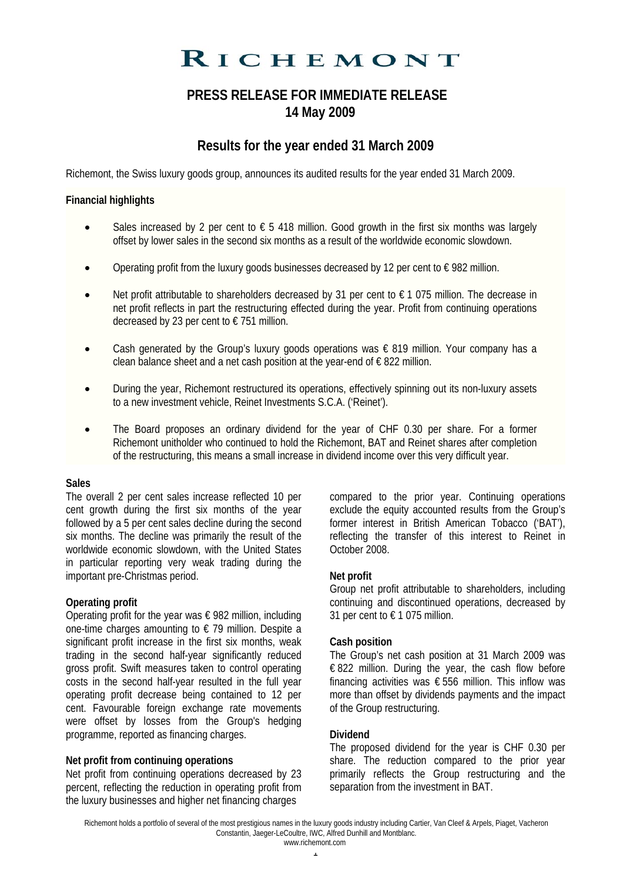# RICHEMONT

## **PRESS RELEASE FOR IMMEDIATE RELEASE 14 May 2009**

# **Results for the year ended 31 March 2009**

Richemont, the Swiss luxury goods group, announces its audited results for the year ended 31 March 2009.

## **Financial highlights**

- Sales increased by 2 per cent to  $\epsilon$  5 418 million. Good growth in the first six months was largely offset by lower sales in the second six months as a result of the worldwide economic slowdown.
- Operating profit from the luxury goods businesses decreased by 12 per cent to  $\epsilon$  982 million.
- Net profit attributable to shareholders decreased by 31 per cent to  $\epsilon$  1 075 million. The decrease in net profit reflects in part the restructuring effected during the year. Profit from continuing operations decreased by 23 per cent to € 751 million.
- Cash generated by the Group's luxury goods operations was  $\epsilon$  819 million. Your company has a clean balance sheet and a net cash position at the year-end of  $\epsilon$  822 million.
- During the year, Richemont restructured its operations, effectively spinning out its non-luxury assets to a new investment vehicle, Reinet Investments S.C.A. ('Reinet').
- The Board proposes an ordinary dividend for the year of CHF 0.30 per share. For a former Richemont unitholder who continued to hold the Richemont, BAT and Reinet shares after completion of the restructuring, this means a small increase in dividend income over this very difficult year.

## **Sales**

The overall 2 per cent sales increase reflected 10 per cent growth during the first six months of the year followed by a 5 per cent sales decline during the second six months. The decline was primarily the result of the worldwide economic slowdown, with the United States in particular reporting very weak trading during the important pre-Christmas period.

## **Operating profit**

Operating profit for the year was  $\epsilon$  982 million, including one-time charges amounting to  $\epsilon$  79 million. Despite a significant profit increase in the first six months, weak trading in the second half-year significantly reduced gross profit. Swift measures taken to control operating costs in the second half-year resulted in the full year operating profit decrease being contained to 12 per cent. Favourable foreign exchange rate movements were offset by losses from the Group's hedging programme, reported as financing charges.

## **Net profit from continuing operations**

Net profit from continuing operations decreased by 23 percent, reflecting the reduction in operating profit from the luxury businesses and higher net financing charges

compared to the prior year. Continuing operations exclude the equity accounted results from the Group's former interest in British American Tobacco ('BAT'), reflecting the transfer of this interest to Reinet in October 2008.

## **Net profit**

Group net profit attributable to shareholders, including continuing and discontinued operations, decreased by 31 per cent to  $\epsilon$  1 075 million.

## **Cash position**

The Group's net cash position at 31 March 2009 was € 822 million. During the year, the cash flow before financing activities was  $\epsilon$  556 million. This inflow was more than offset by dividends payments and the impact of the Group restructuring.

## **Dividend**

The proposed dividend for the year is CHF 0.30 per share. The reduction compared to the prior year primarily reflects the Group restructuring and the separation from the investment in BAT.

Richemont holds a portfolio of several of the most prestigious names in the luxury goods industry including Cartier, Van Cleef & Arpels, Piaget, Vacheron Constantin, Jaeger-LeCoultre, IWC, Alfred Dunhill and Montblanc. www.richemont.com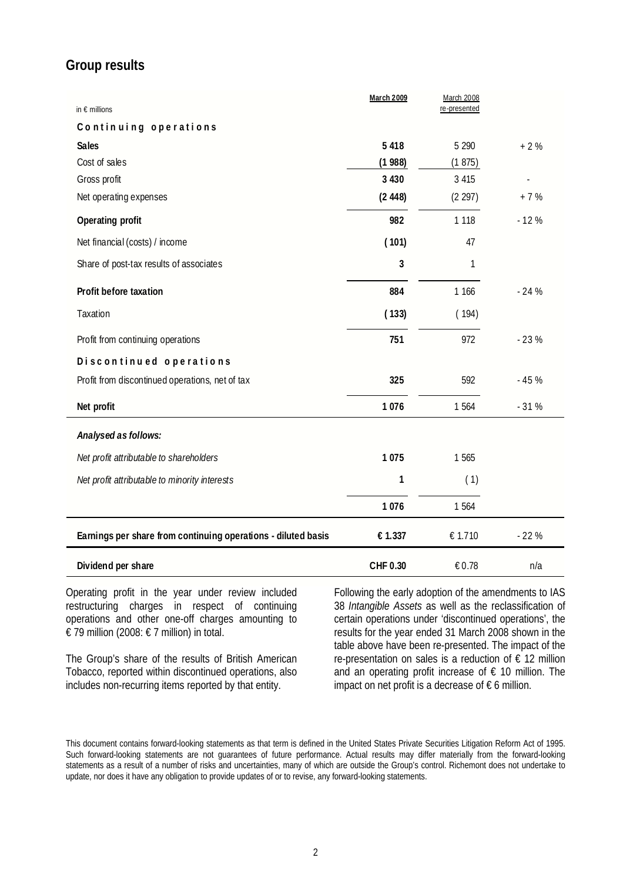# **Group results**

| in $\epsilon$ millions                                        | <b>March 2009</b> | <b>March 2008</b><br>re-presented |        |
|---------------------------------------------------------------|-------------------|-----------------------------------|--------|
| Continuing operations                                         |                   |                                   |        |
| <b>Sales</b>                                                  | 5 4 1 8           | 5 2 9 0                           | $+2%$  |
| Cost of sales                                                 | (1988)            | (1875)                            |        |
| Gross profit                                                  | 3 4 3 0           | 3 4 1 5                           |        |
| Net operating expenses                                        | (2448)            | (2 297)                           | $+7%$  |
| Operating profit                                              | 982               | 1 1 1 8                           | $-12%$ |
| Net financial (costs) / income                                | (101)             | 47                                |        |
| Share of post-tax results of associates                       | 3                 | 1                                 |        |
| Profit before taxation                                        | 884               | 1 166                             | $-24%$ |
| Taxation                                                      | (133)             | (194)                             |        |
| Profit from continuing operations                             | 751               | 972                               | $-23%$ |
| Discontinued operations                                       |                   |                                   |        |
| Profit from discontinued operations, net of tax               | 325               | 592                               | $-45%$ |
| Net profit                                                    | 1076              | 1 5 6 4                           | $-31%$ |
| Analysed as follows:                                          |                   |                                   |        |
| Net profit attributable to shareholders                       | 1 0 7 5           | 1 5 6 5                           |        |
| Net profit attributable to minority interests                 | 1                 | (1)                               |        |
|                                                               | 1076              | 1564                              |        |
| Earnings per share from continuing operations - diluted basis | € 1.337           | € 1.710                           | $-22%$ |
| Dividend per share                                            | CHF 0.30          | € 0.78                            | n/a    |

Operating profit in the year under review included restructuring charges in respect of continuing operations and other one-off charges amounting to € 79 million (2008: € 7 million) in total.

The Group's share of the results of British American Tobacco, reported within discontinued operations, also includes non-recurring items reported by that entity.

Following the early adoption of the amendments to IAS 38 *Intangible Assets* as well as the reclassification of certain operations under 'discontinued operations', the results for the year ended 31 March 2008 shown in the table above have been re-presented. The impact of the re-presentation on sales is a reduction of € 12 million and an operating profit increase of  $\epsilon$  10 million. The impact on net profit is a decrease of  $\epsilon$  6 million.

This document contains forward-looking statements as that term is defined in the United States Private Securities Litigation Reform Act of 1995. Such forward-looking statements are not guarantees of future performance. Actual results may differ materially from the forward-looking statements as a result of a number of risks and uncertainties, many of which are outside the Group's control. Richemont does not undertake to update, nor does it have any obligation to provide updates of or to revise, any forward-looking statements.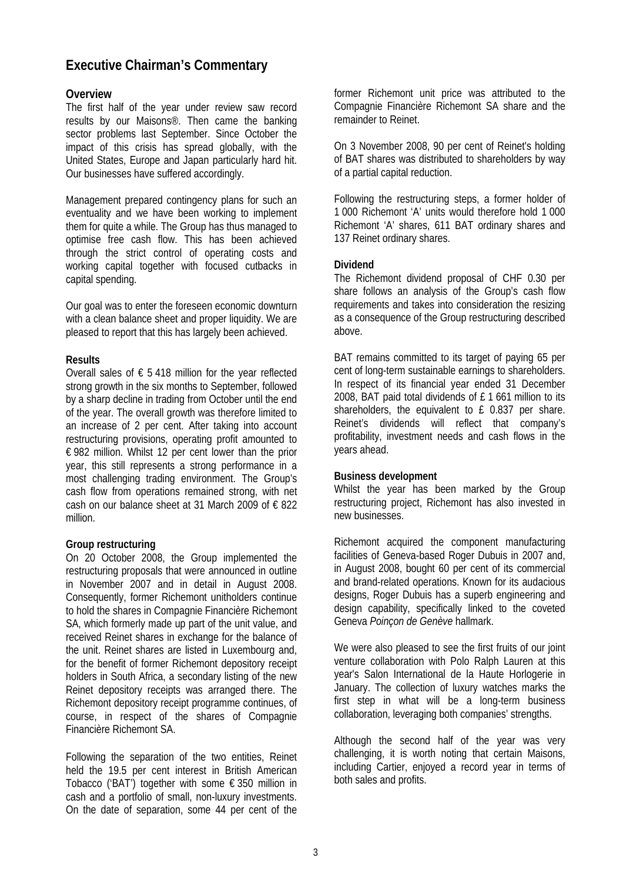# **Executive Chairman's Commentary**

## **Overview**

The first half of the year under review saw record results by our Maisons®. Then came the banking sector problems last September. Since October the impact of this crisis has spread globally, with the United States, Europe and Japan particularly hard hit. Our businesses have suffered accordingly.

Management prepared contingency plans for such an eventuality and we have been working to implement them for quite a while. The Group has thus managed to optimise free cash flow. This has been achieved through the strict control of operating costs and working capital together with focused cutbacks in capital spending.

Our goal was to enter the foreseen economic downturn with a clean balance sheet and proper liquidity. We are pleased to report that this has largely been achieved.

## **Results**

Overall sales of € 5.418 million for the year reflected strong growth in the six months to September, followed by a sharp decline in trading from October until the end of the year. The overall growth was therefore limited to an increase of 2 per cent. After taking into account restructuring provisions, operating profit amounted to € 982 million. Whilst 12 per cent lower than the prior year, this still represents a strong performance in a most challenging trading environment. The Group's cash flow from operations remained strong, with net cash on our balance sheet at 31 March 2009 of  $\epsilon$  822 million.

## **Group restructuring**

On 20 October 2008, the Group implemented the restructuring proposals that were announced in outline in November 2007 and in detail in August 2008. Consequently, former Richemont unitholders continue to hold the shares in Compagnie Financière Richemont SA, which formerly made up part of the unit value, and received Reinet shares in exchange for the balance of the unit. Reinet shares are listed in Luxembourg and, for the benefit of former Richemont depository receipt holders in South Africa, a secondary listing of the new Reinet depository receipts was arranged there. The Richemont depository receipt programme continues, of course, in respect of the shares of Compagnie Financière Richemont SA.

Following the separation of the two entities, Reinet held the 19.5 per cent interest in British American Tobacco ('BAT') together with some  $\epsilon$  350 million in cash and a portfolio of small, non-luxury investments. On the date of separation, some 44 per cent of the former Richemont unit price was attributed to the Compagnie Financière Richemont SA share and the remainder to Reinet.

On 3 November 2008, 90 per cent of Reinet's holding of BAT shares was distributed to shareholders by way of a partial capital reduction.

Following the restructuring steps, a former holder of 1 000 Richemont 'A' units would therefore hold 1 000 Richemont 'A' shares, 611 BAT ordinary shares and 137 Reinet ordinary shares.

## **Dividend**

The Richemont dividend proposal of CHF 0.30 per share follows an analysis of the Group's cash flow requirements and takes into consideration the resizing as a consequence of the Group restructuring described above.

BAT remains committed to its target of paying 65 per cent of long-term sustainable earnings to shareholders. In respect of its financial year ended 31 December 2008, BAT paid total dividends of £ 1 661 million to its shareholders, the equivalent to £ 0.837 per share. Reinet's dividends will reflect that company's profitability, investment needs and cash flows in the years ahead.

## **Business development**

Whilst the year has been marked by the Group restructuring project, Richemont has also invested in new businesses.

Richemont acquired the component manufacturing facilities of Geneva-based Roger Dubuis in 2007 and, in August 2008, bought 60 per cent of its commercial and brand-related operations. Known for its audacious designs, Roger Dubuis has a superb engineering and design capability, specifically linked to the coveted Geneva *Poinçon de Genève* hallmark.

We were also pleased to see the first fruits of our joint venture collaboration with Polo Ralph Lauren at this year's Salon International de la Haute Horlogerie in January. The collection of luxury watches marks the first step in what will be a long-term business collaboration, leveraging both companies' strengths.

Although the second half of the year was very challenging, it is worth noting that certain Maisons, including Cartier, enjoyed a record year in terms of both sales and profits.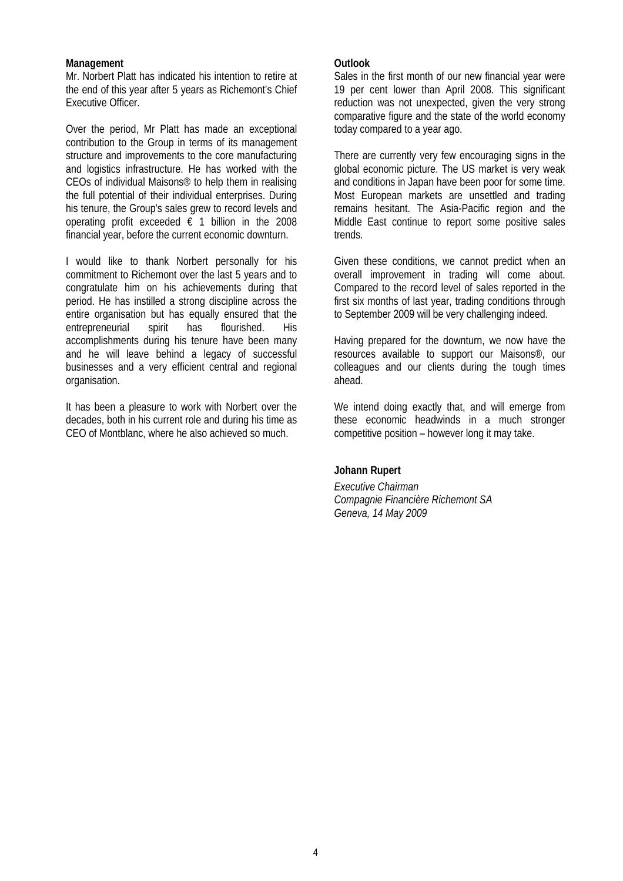## **Management**

Mr. Norbert Platt has indicated his intention to retire at the end of this year after 5 years as Richemont's Chief Executive Officer.

Over the period, Mr Platt has made an exceptional contribution to the Group in terms of its management structure and improvements to the core manufacturing and logistics infrastructure. He has worked with the CEOs of individual Maisons® to help them in realising the full potential of their individual enterprises. During his tenure, the Group's sales grew to record levels and operating profit exceeded  $\epsilon$  1 billion in the 2008 financial year, before the current economic downturn.

I would like to thank Norbert personally for his commitment to Richemont over the last 5 years and to congratulate him on his achievements during that period. He has instilled a strong discipline across the entire organisation but has equally ensured that the entrepreneurial spirit has flourished. His accomplishments during his tenure have been many and he will leave behind a legacy of successful businesses and a very efficient central and regional organisation.

It has been a pleasure to work with Norbert over the decades, both in his current role and during his time as CEO of Montblanc, where he also achieved so much.

## **Outlook**

Sales in the first month of our new financial year were 19 per cent lower than April 2008. This significant reduction was not unexpected, given the very strong comparative figure and the state of the world economy today compared to a year ago.

There are currently very few encouraging signs in the global economic picture. The US market is very weak and conditions in Japan have been poor for some time. Most European markets are unsettled and trading remains hesitant. The Asia-Pacific region and the Middle East continue to report some positive sales trends.

Given these conditions, we cannot predict when an overall improvement in trading will come about. Compared to the record level of sales reported in the first six months of last year, trading conditions through to September 2009 will be very challenging indeed.

Having prepared for the downturn, we now have the resources available to support our Maisons®, our colleagues and our clients during the tough times ahead.

We intend doing exactly that, and will emerge from these economic headwinds in a much stronger competitive position – however long it may take.

## **Johann Rupert**

*Executive Chairman Compagnie Financière Richemont SA Geneva, 14 May 2009*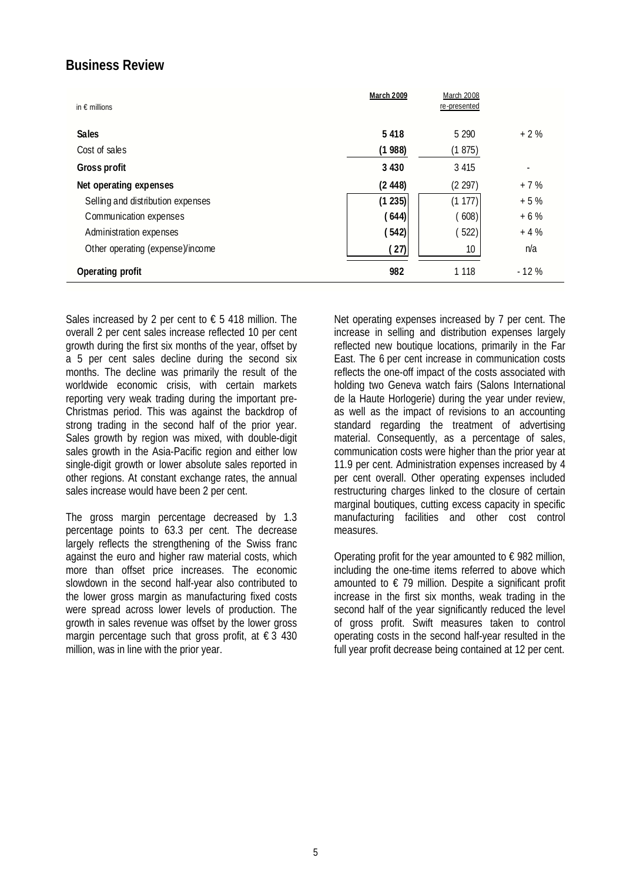# **Business Review**

| in $\epsilon$ millions            | <b>March 2009</b> | March 2008<br>re-presented |                          |
|-----------------------------------|-------------------|----------------------------|--------------------------|
| <b>Sales</b>                      | 5 4 1 8           | 5 2 9 0                    | $+2%$                    |
| Cost of sales                     | (1988)            | (1875)                     |                          |
| <b>Gross profit</b>               | 3 4 3 0           | 3 4 1 5                    | $\overline{\phantom{0}}$ |
| Net operating expenses            | (2448)            | (2 297)                    | $+7%$                    |
| Selling and distribution expenses | (1235)            | (1177)                     | $+5%$                    |
| Communication expenses            | (644)             | 608)                       | $+6%$                    |
| Administration expenses           | (542)             | 522)                       | $+4%$                    |
| Other operating (expense)/income  | (27)              | 10 <sup>°</sup>            | n/a                      |
| Operating profit                  | 982               | 1 1 1 8                    | $-12%$                   |

Sales increased by 2 per cent to  $\epsilon$  5 418 million. The overall 2 per cent sales increase reflected 10 per cent growth during the first six months of the year, offset by a 5 per cent sales decline during the second six months. The decline was primarily the result of the worldwide economic crisis, with certain markets reporting very weak trading during the important pre-Christmas period. This was against the backdrop of strong trading in the second half of the prior year. Sales growth by region was mixed, with double-digit sales growth in the Asia-Pacific region and either low single-digit growth or lower absolute sales reported in other regions. At constant exchange rates, the annual sales increase would have been 2 per cent.

The gross margin percentage decreased by 1.3 percentage points to 63.3 per cent. The decrease largely reflects the strengthening of the Swiss franc against the euro and higher raw material costs, which more than offset price increases. The economic slowdown in the second half-year also contributed to the lower gross margin as manufacturing fixed costs were spread across lower levels of production. The growth in sales revenue was offset by the lower gross margin percentage such that gross profit, at  $\epsilon$  3 430 million, was in line with the prior year.

Net operating expenses increased by 7 per cent. The increase in selling and distribution expenses largely reflected new boutique locations, primarily in the Far East. The 6 per cent increase in communication costs reflects the one-off impact of the costs associated with holding two Geneva watch fairs (Salons International de la Haute Horlogerie) during the year under review, as well as the impact of revisions to an accounting standard regarding the treatment of advertising material. Consequently, as a percentage of sales, communication costs were higher than the prior year at 11.9 per cent. Administration expenses increased by 4 per cent overall. Other operating expenses included restructuring charges linked to the closure of certain marginal boutiques, cutting excess capacity in specific manufacturing facilities and other cost control measures.

Operating profit for the year amounted to  $\epsilon$  982 million, including the one-time items referred to above which amounted to  $\epsilon$  79 million. Despite a significant profit increase in the first six months, weak trading in the second half of the year significantly reduced the level of gross profit. Swift measures taken to control operating costs in the second half-year resulted in the full year profit decrease being contained at 12 per cent.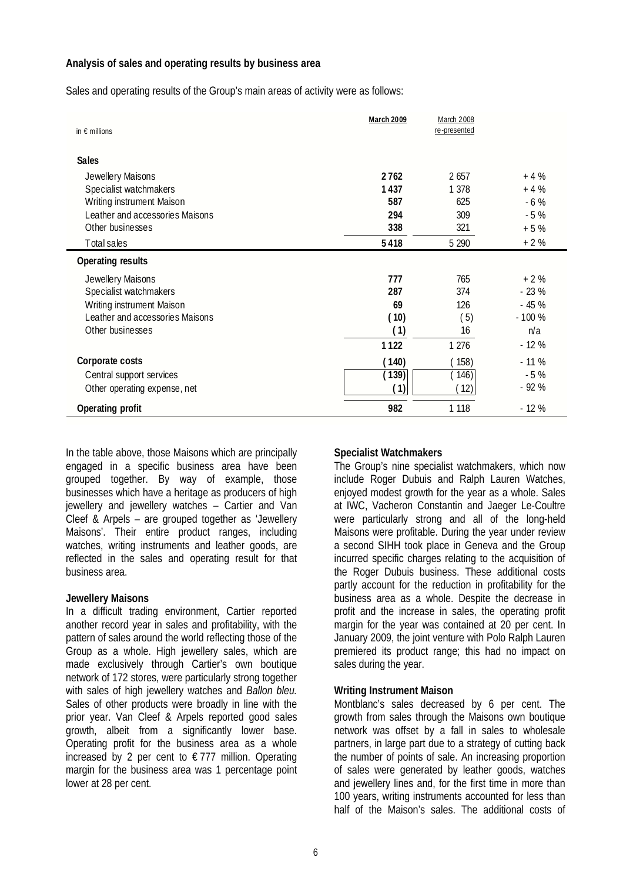## **Analysis of sales and operating results by business area**

Sales and operating results of the Group's main areas of activity were as follows:

| in $\epsilon$ millions          | March 2009         | March 2008<br>re-presented |         |
|---------------------------------|--------------------|----------------------------|---------|
| <b>Sales</b>                    |                    |                            |         |
| Jewellery Maisons               | 2762               | 2 657                      | $+4%$   |
| Specialist watchmakers          | 1437               | 1 378                      | $+4%$   |
| Writing instrument Maison       | 587                | 625                        | $-6%$   |
| Leather and accessories Maisons | 294                | 309                        | $-5%$   |
| Other businesses                | 338                | 321                        | $+5%$   |
| Total sales                     | 5418               | 5 2 9 0                    | $+2%$   |
| <b>Operating results</b>        |                    |                            |         |
| Jewellery Maisons               | 777                | 765                        | $+2%$   |
| Specialist watchmakers          | 287                | 374                        | $-23%$  |
| Writing instrument Maison       | 69                 | 126                        | $-45%$  |
| Leather and accessories Maisons | (10)               | (5)                        | $-100%$ |
| Other businesses                | (1)                | 16                         | n/a     |
|                                 | 1122               | 1 2 7 6                    | $-12%$  |
| Corporate costs                 | (140)              | (158)                      | $-11%$  |
| Central support services        | $(\overline{139})$ | $\left( 146\right)$        | $-5%$   |
| Other operating expense, net    | (1)                | 12)                        | $-92%$  |
| Operating profit                | 982                | 1 1 18                     | $-12%$  |

In the table above, those Maisons which are principally engaged in a specific business area have been grouped together. By way of example, those businesses which have a heritage as producers of high jewellery and jewellery watches – Cartier and Van Cleef & Arpels – are grouped together as 'Jewellery Maisons'. Their entire product ranges, including watches, writing instruments and leather goods, are reflected in the sales and operating result for that business area.

## **Jewellery Maisons**

In a difficult trading environment, Cartier reported another record year in sales and profitability, with the pattern of sales around the world reflecting those of the Group as a whole. High jewellery sales, which are made exclusively through Cartier's own boutique network of 172 stores, were particularly strong together with sales of high jewellery watches and *Ballon bleu.* Sales of other products were broadly in line with the prior year. Van Cleef & Arpels reported good sales growth, albeit from a significantly lower base. Operating profit for the business area as a whole increased by 2 per cent to  $\epsilon$  777 million. Operating margin for the business area was 1 percentage point lower at 28 per cent.

## **Specialist Watchmakers**

The Group's nine specialist watchmakers, which now include Roger Dubuis and Ralph Lauren Watches, enjoyed modest growth for the year as a whole. Sales at IWC, Vacheron Constantin and Jaeger Le-Coultre were particularly strong and all of the long-held Maisons were profitable. During the year under review a second SIHH took place in Geneva and the Group incurred specific charges relating to the acquisition of the Roger Dubuis business. These additional costs partly account for the reduction in profitability for the business area as a whole. Despite the decrease in profit and the increase in sales, the operating profit margin for the year was contained at 20 per cent. In January 2009, the joint venture with Polo Ralph Lauren premiered its product range; this had no impact on sales during the year.

## **Writing Instrument Maison**

Montblanc's sales decreased by 6 per cent. The growth from sales through the Maisons own boutique network was offset by a fall in sales to wholesale partners, in large part due to a strategy of cutting back the number of points of sale. An increasing proportion of sales were generated by leather goods, watches and jewellery lines and, for the first time in more than 100 years, writing instruments accounted for less than half of the Maison's sales. The additional costs of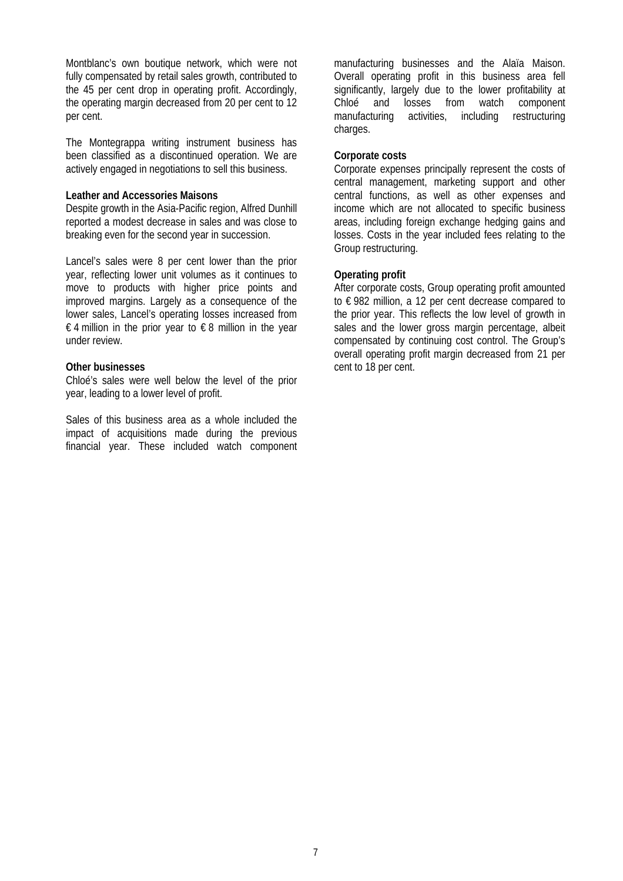Montblanc's own boutique network, which were not fully compensated by retail sales growth, contributed to the 45 per cent drop in operating profit. Accordingly, the operating margin decreased from 20 per cent to 12 per cent.

The Montegrappa writing instrument business has been classified as a discontinued operation. We are actively engaged in negotiations to sell this business.

#### **Leather and Accessories Maisons**

Despite growth in the Asia-Pacific region, Alfred Dunhill reported a modest decrease in sales and was close to breaking even for the second year in succession.

Lancel's sales were 8 per cent lower than the prior year, reflecting lower unit volumes as it continues to move to products with higher price points and improved margins. Largely as a consequence of the lower sales, Lancel's operating losses increased from € 4 million in the prior year to € 8 million in the year under review.

#### **Other businesses**

Chloé's sales were well below the level of the prior year, leading to a lower level of profit.

Sales of this business area as a whole included the impact of acquisitions made during the previous financial year. These included watch component manufacturing businesses and the Alaïa Maison. Overall operating profit in this business area fell significantly, largely due to the lower profitability at Chloé and losses from watch component manufacturing activities, including restructuring charges.

### **Corporate costs**

Corporate expenses principally represent the costs of central management, marketing support and other central functions, as well as other expenses and income which are not allocated to specific business areas, including foreign exchange hedging gains and losses. Costs in the year included fees relating to the Group restructuring.

#### **Operating profit**

After corporate costs, Group operating profit amounted to € 982 million, a 12 per cent decrease compared to the prior year. This reflects the low level of growth in sales and the lower gross margin percentage, albeit compensated by continuing cost control. The Group's overall operating profit margin decreased from 21 per cent to 18 per cent.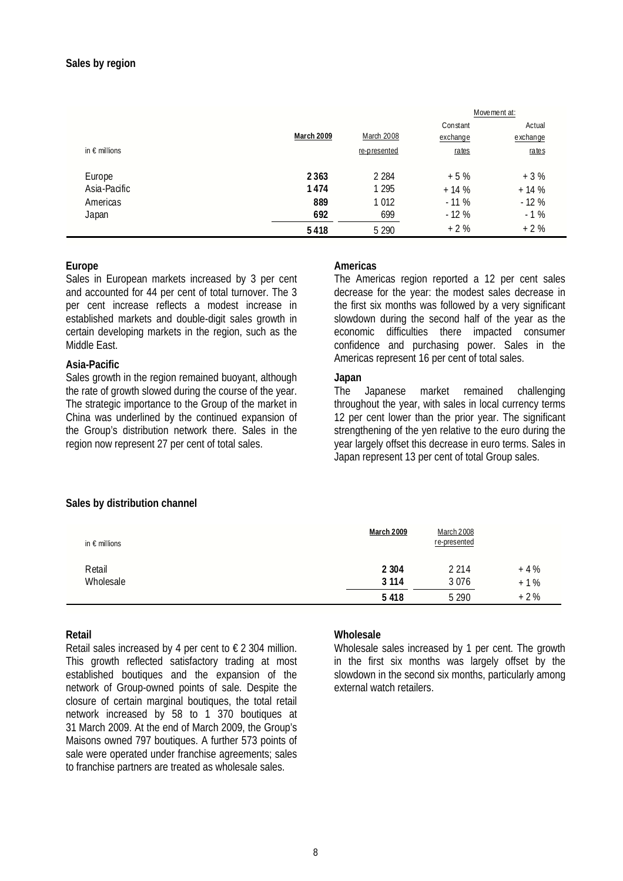|                        |            |              | Movement at: |          |  |
|------------------------|------------|--------------|--------------|----------|--|
|                        |            |              | Constant     | Actual   |  |
|                        | March 2009 | March 2008   | exchange     | exchange |  |
| in $\epsilon$ millions |            | re-presented | rates        | rates    |  |
| Europe                 | 2 3 6 3    | 2 2 8 4      | $+5%$        | $+3%$    |  |
| Asia-Pacific           | 1474       | 1 2 9 5      | $+14%$       | $+14%$   |  |
| Americas               | 889        | 1 0 12       | $-11%$       | $-12%$   |  |
| Japan                  | 692        | 699          | $-12%$       | $-1%$    |  |
|                        | 5418       | 5 2 9 0      | $+2%$        | $+2%$    |  |

## **Europe**

Sales in European markets increased by 3 per cent and accounted for 44 per cent of total turnover. The 3 per cent increase reflects a modest increase in established markets and double-digit sales growth in certain developing markets in the region, such as the Middle East.

#### **Asia-Pacific**

Sales growth in the region remained buoyant, although the rate of growth slowed during the course of the year. The strategic importance to the Group of the market in China was underlined by the continued expansion of the Group's distribution network there. Sales in the region now represent 27 per cent of total sales.

#### **Americas**

The Americas region reported a 12 per cent sales decrease for the year: the modest sales decrease in the first six months was followed by a very significant slowdown during the second half of the year as the economic difficulties there impacted consumer confidence and purchasing power. Sales in the Americas represent 16 per cent of total sales.

#### **Japan**

The Japanese market remained challenging throughout the year, with sales in local currency terms 12 per cent lower than the prior year. The significant strengthening of the yen relative to the euro during the year largely offset this decrease in euro terms. Sales in Japan represent 13 per cent of total Group sales.

## **Sales by distribution channel**

| in $\epsilon$ millions | <b>March 2009</b> | <b>March 2008</b><br>re-presented |        |
|------------------------|-------------------|-----------------------------------|--------|
| Retail                 | 2 3 0 4           | 2 2 1 4                           | $+4%$  |
| Wholesale              | 3 1 1 4           | 3076                              | $+1\%$ |
|                        | 5418              | 5 2 9 0                           | $+2%$  |

## **Retail**

Retail sales increased by 4 per cent to  $\epsilon$  2 304 million. This growth reflected satisfactory trading at most established boutiques and the expansion of the network of Group-owned points of sale. Despite the closure of certain marginal boutiques, the total retail network increased by 58 to 1 370 boutiques at 31 March 2009. At the end of March 2009, the Group's Maisons owned 797 boutiques. A further 573 points of sale were operated under franchise agreements; sales to franchise partners are treated as wholesale sales.

#### **Wholesale**

Wholesale sales increased by 1 per cent. The growth in the first six months was largely offset by the slowdown in the second six months, particularly among external watch retailers.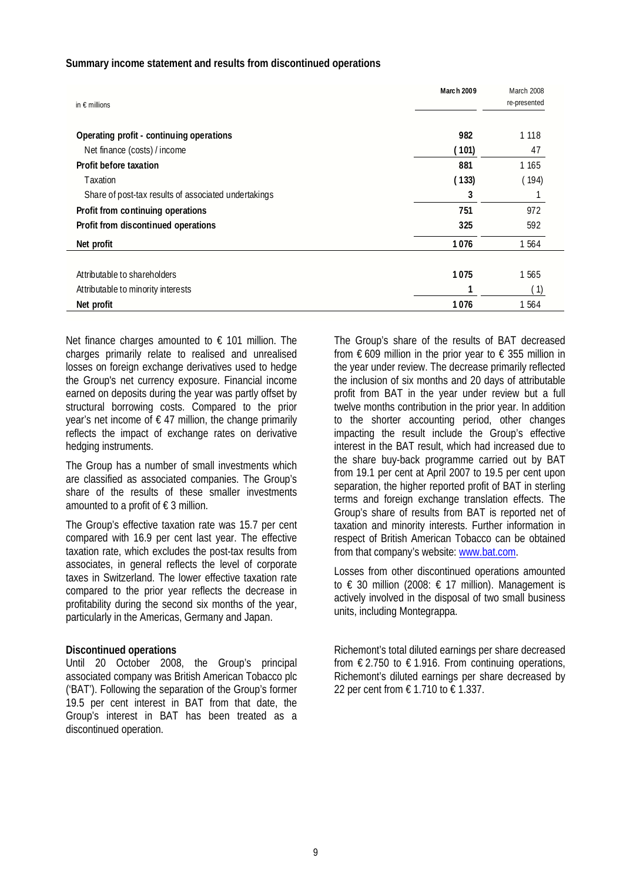#### **Summary income statement and results from discontinued operations**

| in $\epsilon$ millions                               | March 2009 | March 2008<br>re-presented |
|------------------------------------------------------|------------|----------------------------|
| Operating profit - continuing operations             | 982        | 1 1 1 8                    |
| Net finance (costs) / income                         | (101)      | 47                         |
| Profit before taxation                               | 881        | 1 1 6 5                    |
| Taxation                                             | (133)      | (194)                      |
| Share of post-tax results of associated undertakings | 3          |                            |
| Profit from continuing operations                    | 751        | 972                        |
| Profit from discontinued operations                  | 325        | 592                        |
| Net profit                                           | 1076       | 1 564                      |
|                                                      |            |                            |
| Attributable to shareholders                         | 1075       | 1 565                      |
| Attributable to minority interests                   |            | (1)                        |
| Net profit                                           | 1076       | 1 5 6 4                    |

Net finance charges amounted to  $\epsilon$  101 million. The charges primarily relate to realised and unrealised losses on foreign exchange derivatives used to hedge the Group's net currency exposure. Financial income earned on deposits during the year was partly offset by structural borrowing costs. Compared to the prior year's net income of  $\epsilon$  47 million, the change primarily reflects the impact of exchange rates on derivative hedging instruments.

The Group has a number of small investments which are classified as associated companies. The Group's share of the results of these smaller investments amounted to a profit of  $\epsilon$  3 million.

The Group's effective taxation rate was 15.7 per cent compared with 16.9 per cent last year. The effective taxation rate, which excludes the post-tax results from associates, in general reflects the level of corporate taxes in Switzerland. The lower effective taxation rate compared to the prior year reflects the decrease in profitability during the second six months of the year, particularly in the Americas, Germany and Japan.

#### **Discontinued operations**

Until 20 October 2008, the Group's principal associated company was British American Tobacco plc ('BAT'). Following the separation of the Group's former 19.5 per cent interest in BAT from that date, the Group's interest in BAT has been treated as a discontinued operation.

The Group's share of the results of BAT decreased from  $\epsilon$  609 million in the prior year to  $\epsilon$  355 million in the year under review. The decrease primarily reflected the inclusion of six months and 20 days of attributable profit from BAT in the year under review but a full twelve months contribution in the prior year. In addition to the shorter accounting period, other changes impacting the result include the Group's effective interest in the BAT result, which had increased due to the share buy-back programme carried out by BAT from 19.1 per cent at April 2007 to 19.5 per cent upon separation, the higher reported profit of BAT in sterling terms and foreign exchange translation effects. The Group's share of results from BAT is reported net of taxation and minority interests. Further information in respect of British American Tobacco can be obtained from that company's website: www.bat.com.

Losses from other discontinued operations amounted to € 30 million (2008: € 17 million). Management is actively involved in the disposal of two small business units, including Montegrappa.

Richemont's total diluted earnings per share decreased from  $\epsilon$  2.750 to  $\epsilon$  1.916. From continuing operations, Richemont's diluted earnings per share decreased by 22 per cent from € 1.710 to € 1.337.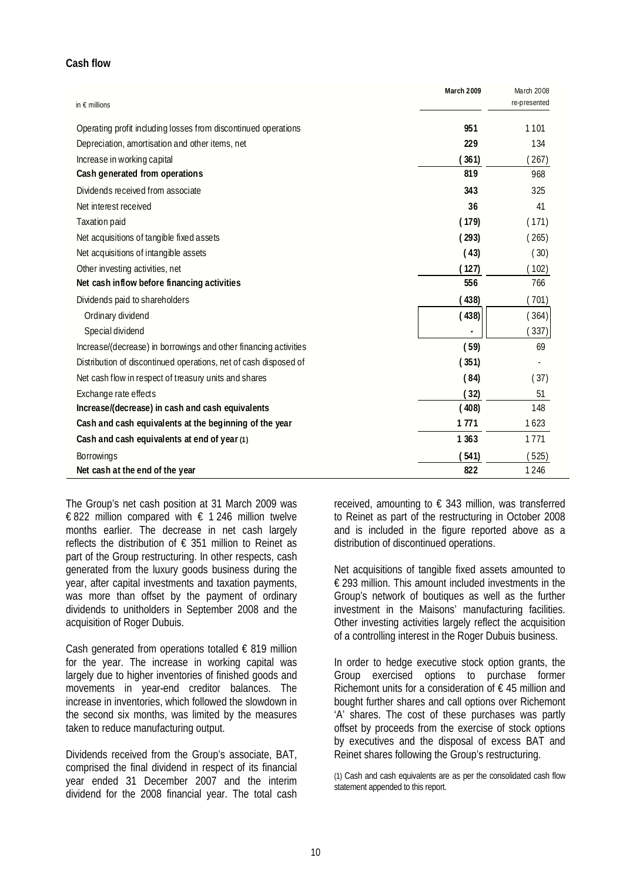## **Cash flow**

| in $\epsilon$ millions                                           | March 2009 | March 2008<br>re-presented |
|------------------------------------------------------------------|------------|----------------------------|
| Operating profit including losses from discontinued operations   | 951        | 1101                       |
| Depreciation, amortisation and other items, net                  | 229        | 134                        |
| Increase in working capital                                      | (361)      | (267)                      |
| Cash generated from operations                                   | 819        | 968                        |
| Dividends received from associate                                | 343        | 325                        |
| Net interest received                                            | 36         | 41                         |
| <b>Taxation paid</b>                                             | (179)      | (171)                      |
| Net acquisitions of tangible fixed assets                        | (293)      | (265)                      |
| Net acquisitions of intangible assets                            | (43)       | (30)                       |
| Other investing activities, net                                  | (127)      | (102)                      |
| Net cash inflow before financing activities                      | 556        | 766                        |
| Dividends paid to shareholders                                   | (438)      | (701)                      |
| Ordinary dividend                                                | (438)      | (364)                      |
| Special dividend                                                 |            | (337)                      |
| Increase/(decrease) in borrowings and other financing activities | (59)       | 69                         |
| Distribution of discontinued operations, net of cash disposed of | (351)      |                            |
| Net cash flow in respect of treasury units and shares            | (84)       | (37)                       |
| Exchange rate effects                                            | (32)       | 51                         |
| Increase/(decrease) in cash and cash equivalents                 | (408)      | 148                        |
| Cash and cash equivalents at the beginning of the year           | 1771       | 1623                       |
| Cash and cash equivalents at end of year (1)                     | 1 3 6 3    | 1771                       |
| <b>Borrowings</b>                                                | (541)      | (525)                      |
| Net cash at the end of the year                                  | 822        | 1246                       |

The Group's net cash position at 31 March 2009 was € 822 million compared with  $∈$  1 246 million twelve months earlier. The decrease in net cash largely reflects the distribution of  $\epsilon$  351 million to Reinet as part of the Group restructuring. In other respects, cash generated from the luxury goods business during the year, after capital investments and taxation payments, was more than offset by the payment of ordinary dividends to unitholders in September 2008 and the acquisition of Roger Dubuis.

Cash generated from operations totalled  $\epsilon$  819 million for the year. The increase in working capital was largely due to higher inventories of finished goods and movements in year-end creditor balances. The increase in inventories, which followed the slowdown in the second six months, was limited by the measures taken to reduce manufacturing output.

Dividends received from the Group's associate, BAT, comprised the final dividend in respect of its financial year ended 31 December 2007 and the interim dividend for the 2008 financial year. The total cash

received, amounting to  $\epsilon$  343 million, was transferred to Reinet as part of the restructuring in October 2008 and is included in the figure reported above as a distribution of discontinued operations.

Net acquisitions of tangible fixed assets amounted to € 293 million. This amount included investments in the Group's network of boutiques as well as the further investment in the Maisons' manufacturing facilities. Other investing activities largely reflect the acquisition of a controlling interest in the Roger Dubuis business.

In order to hedge executive stock option grants, the Group exercised options to purchase former Richemont units for a consideration of  $\epsilon$  45 million and bought further shares and call options over Richemont 'A' shares. The cost of these purchases was partly offset by proceeds from the exercise of stock options by executives and the disposal of excess BAT and Reinet shares following the Group's restructuring.

(1) Cash and cash equivalents are as per the consolidated cash flow statement appended to this report.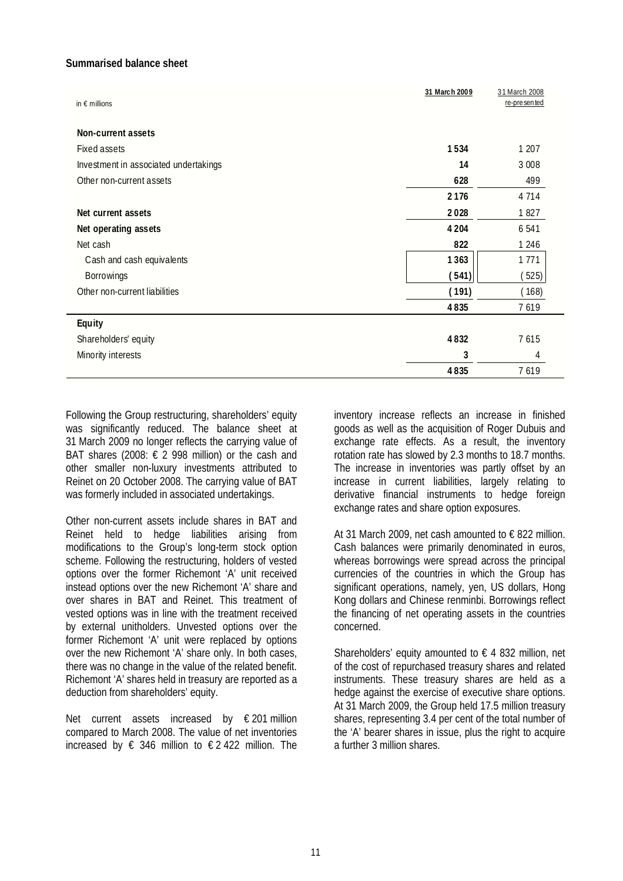## **Summarised balance sheet**

| in $\epsilon$ millions                | 31 March 2009 | 31 March 2008<br>re-presented |
|---------------------------------------|---------------|-------------------------------|
| Non-current assets                    |               |                               |
| Fixed assets                          | 1534          | 1 207                         |
| Investment in associated undertakings | 14            | 3 0 0 8                       |
| Other non-current assets              | 628           | 499                           |
|                                       | 2176          | 4 7 1 4                       |
| Net current assets                    | 2028          | 1827                          |
| Net operating assets                  | 4 2 0 4       | 6 5 4 1                       |
| Net cash                              | 822           | 1 2 4 6                       |
| Cash and cash equivalents             | 1363          | 1 771                         |
| Borrowings                            | (541)         | (525)                         |
| Other non-current liabilities         | (191)         | (168)                         |
|                                       | 4835          | 7619                          |
| Equity                                |               |                               |
| Shareholders' equity                  | 4832          | 7615                          |
| Minority interests                    | 3             | 4                             |
|                                       | 4835          | 7619                          |

Following the Group restructuring, shareholders' equity was significantly reduced. The balance sheet at 31 March 2009 no longer reflects the carrying value of BAT shares (2008:  $\epsilon$  2 998 million) or the cash and other smaller non-luxury investments attributed to Reinet on 20 October 2008. The carrying value of BAT was formerly included in associated undertakings.

Other non-current assets include shares in BAT and Reinet held to hedge liabilities arising from modifications to the Group's long-term stock option scheme. Following the restructuring, holders of vested options over the former Richemont 'A' unit received instead options over the new Richemont 'A' share and over shares in BAT and Reinet. This treatment of vested options was in line with the treatment received by external unitholders. Unvested options over the former Richemont 'A' unit were replaced by options over the new Richemont 'A' share only. In both cases, there was no change in the value of the related benefit. Richemont 'A' shares held in treasury are reported as a deduction from shareholders' equity.

Net current assets increased by € 201 million compared to March 2008. The value of net inventories increased by  $\epsilon$  346 million to  $\epsilon$  2422 million. The inventory increase reflects an increase in finished goods as well as the acquisition of Roger Dubuis and exchange rate effects. As a result, the inventory rotation rate has slowed by 2.3 months to 18.7 months. The increase in inventories was partly offset by an increase in current liabilities, largely relating to derivative financial instruments to hedge foreign exchange rates and share option exposures.

At 31 March 2009, net cash amounted to € 822 million. Cash balances were primarily denominated in euros, whereas borrowings were spread across the principal currencies of the countries in which the Group has significant operations, namely, yen, US dollars, Hong Kong dollars and Chinese renminbi. Borrowings reflect the financing of net operating assets in the countries concerned.

Shareholders' equity amounted to  $\epsilon$  4 832 million, net of the cost of repurchased treasury shares and related instruments. These treasury shares are held as a hedge against the exercise of executive share options. At 31 March 2009, the Group held 17.5 million treasury shares, representing 3.4 per cent of the total number of the 'A' bearer shares in issue, plus the right to acquire a further 3 million shares.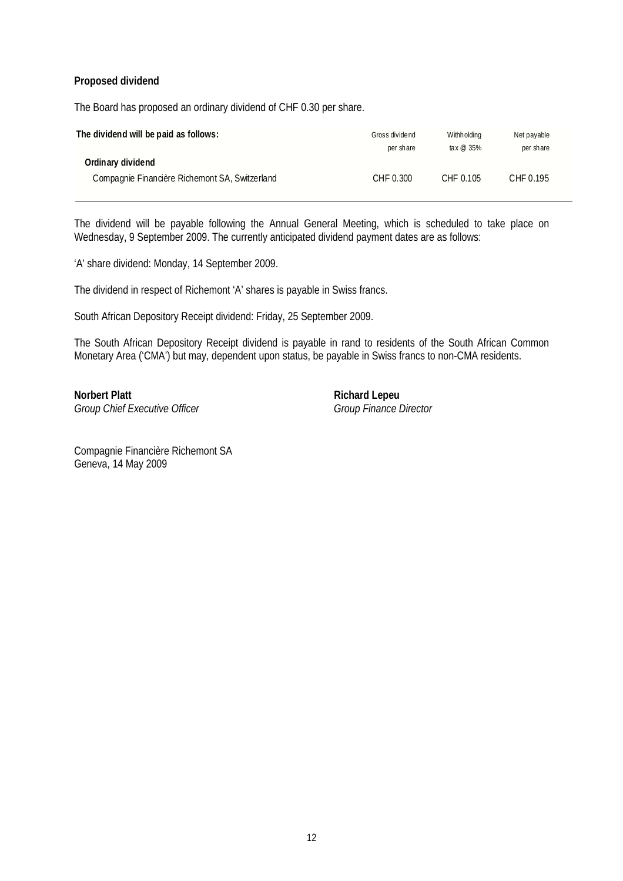## **Proposed dividend**

The Board has proposed an ordinary dividend of CHF 0.30 per share.

| The dividend will be paid as follows:          | Gross dividend<br>per share | Withholding<br>tax $\omega$ 35% | Net payable<br>per share |
|------------------------------------------------|-----------------------------|---------------------------------|--------------------------|
| Ordinary dividend                              |                             |                                 |                          |
| Compagnie Financière Richemont SA, Switzerland | CHF 0.300                   | CHF 0.105                       | CHF 0.195                |

The dividend will be payable following the Annual General Meeting, which is scheduled to take place on Wednesday, 9 September 2009. The currently anticipated dividend payment dates are as follows:

'A' share dividend: Monday, 14 September 2009.

The dividend in respect of Richemont 'A' shares is payable in Swiss francs.

South African Depository Receipt dividend: Friday, 25 September 2009.

The South African Depository Receipt dividend is payable in rand to residents of the South African Common Monetary Area ('CMA') but may, dependent upon status, be payable in Swiss francs to non-CMA residents.

**Norbert Platt Richard Lepeu Richard Lepeu** Group Chief Executive Officer Group Finance Director

Compagnie Financière Richemont SA Geneva, 14 May 2009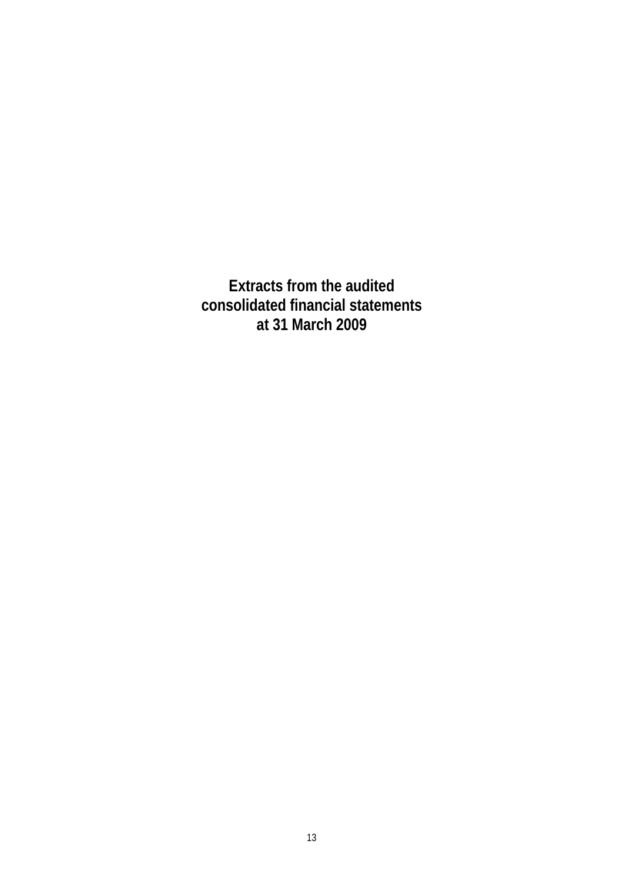**Extracts from the audited consolidated financial statements at 31 March 2009**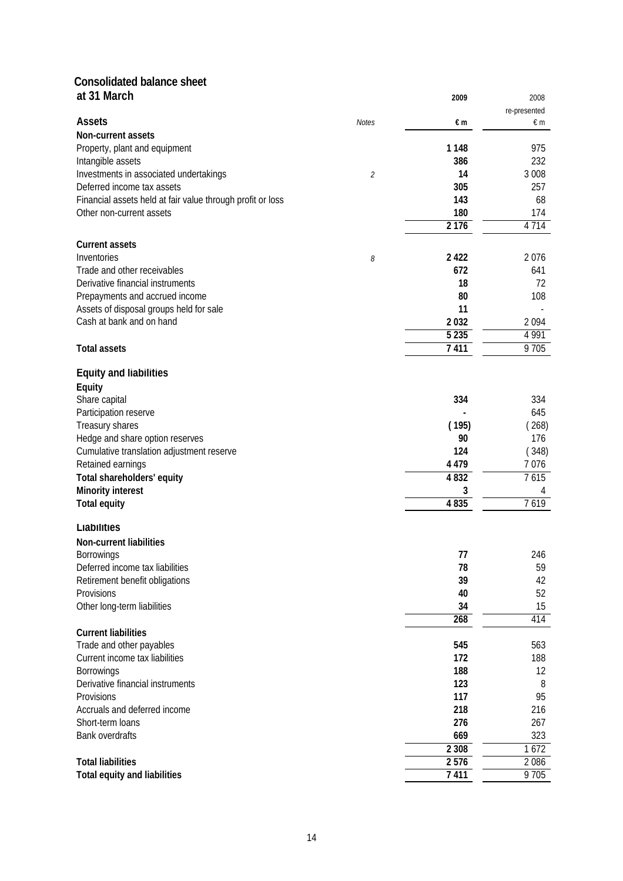# **Consolidated balance sheet**

| at 31 March                                                |                             | 2009    | 2008         |
|------------------------------------------------------------|-----------------------------|---------|--------------|
| <b>Assets</b>                                              |                             |         | re-presented |
|                                                            | <b>Notes</b>                | €m      | $\notin$ m   |
| Non-current assets<br>Property, plant and equipment        |                             | 1 1 4 8 | 975          |
| Intangible assets                                          |                             | 386     | 232          |
| Investments in associated undertakings                     | $\mathcal{L}_{\mathcal{L}}$ | 14      | 3 0 0 8      |
| Deferred income tax assets                                 |                             | 305     | 257          |
| Financial assets held at fair value through profit or loss |                             | 143     | 68           |
| Other non-current assets                                   |                             | 180     | 174          |
|                                                            |                             | 2 1 7 6 | 4 7 1 4      |
| <b>Current assets</b>                                      |                             |         |              |
| Inventories                                                | 8                           | 2 4 2 2 | 2076         |
| Trade and other receivables                                |                             | 672     | 641          |
| Derivative financial instruments                           |                             | 18      | 72           |
| Prepayments and accrued income                             |                             | 80      | 108          |
| Assets of disposal groups held for sale                    |                             | 11      |              |
| Cash at bank and on hand                                   |                             | 2032    | 2094         |
|                                                            |                             | 5 2 3 5 | 4 9 9 1      |
| <b>Total assets</b>                                        |                             | 7411    | 9705         |
| <b>Equity and liabilities</b>                              |                             |         |              |
| Equity                                                     |                             |         |              |
| Share capital                                              |                             | 334     | 334          |
| Participation reserve                                      |                             |         | 645          |
| Treasury shares                                            |                             | (195)   | (268)        |
| Hedge and share option reserves                            |                             | 90      | 176          |
| Cumulative translation adjustment reserve                  |                             | 124     | (348)        |
| Retained earnings                                          |                             | 4 4 7 9 | 7076         |
| Total shareholders' equity                                 |                             | 4832    | 7615         |
| <b>Minority interest</b>                                   |                             | 3       | 4            |
| <b>Total equity</b>                                        |                             | 4835    | 7619         |
| Liabilities                                                |                             |         |              |
| Non-current liabilities                                    |                             |         |              |
| Borrowings                                                 |                             | 77      | 246          |
| Deferred income tax liabilities                            |                             | 78      | 59           |
| Retirement benefit obligations                             |                             | 39      | 42           |
| Provisions                                                 |                             | 40      | 52           |
| Other long-term liabilities                                |                             | 34      | 15           |
|                                                            |                             | 268     | 414          |
| <b>Current liabilities</b>                                 |                             |         |              |
| Trade and other payables                                   |                             | 545     | 563          |
| Current income tax liabilities                             |                             | 172     | 188          |
| <b>Borrowings</b>                                          |                             | 188     | 12           |
| Derivative financial instruments                           |                             | 123     | 8            |
| Provisions                                                 |                             | 117     | 95           |
| Accruals and deferred income                               |                             | 218     | 216          |
| Short-term loans                                           |                             | 276     | 267          |
| Bank overdrafts                                            |                             | 669     | 323          |
| <b>Total liabilities</b>                                   |                             | 2 3 0 8 | 1672<br>2086 |
|                                                            |                             | 2576    |              |
| <b>Total equity and liabilities</b>                        |                             | 7411    | 9705         |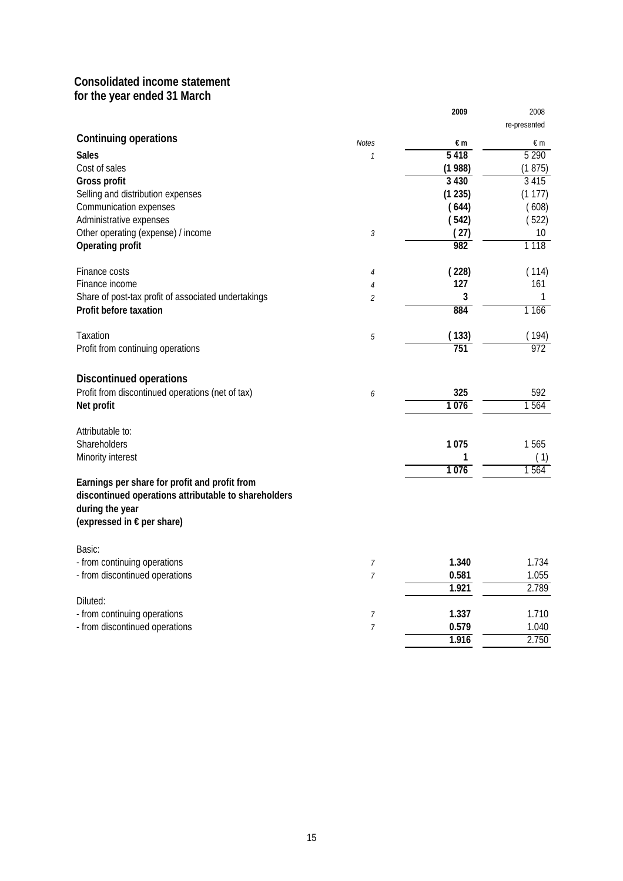## **Consolidated income statement for the year ended 31 March**

|                                                                                                                                                        |                | 2009    | 2008<br>re-presented |
|--------------------------------------------------------------------------------------------------------------------------------------------------------|----------------|---------|----------------------|
| Continuing operations                                                                                                                                  | <b>Notes</b>   | €m      | €m                   |
| <b>Sales</b>                                                                                                                                           | $\mathcal{I}$  | 5418    | 5 2 9 0              |
| Cost of sales                                                                                                                                          |                | (1988)  | (1875)               |
| Gross profit                                                                                                                                           |                | 3 4 3 0 | 3415                 |
| Selling and distribution expenses                                                                                                                      |                | (1235)  | (1177)               |
| Communication expenses                                                                                                                                 |                | (644)   | (608)                |
| Administrative expenses                                                                                                                                |                | (542)   | (522)                |
| Other operating (expense) / income                                                                                                                     | 3              | (27)    | 10                   |
| Operating profit                                                                                                                                       |                | 982     | 1 1 1 8              |
| Finance costs                                                                                                                                          | $\sqrt{4}$     | (228)   | (114)                |
| Finance income                                                                                                                                         | $\overline{4}$ | 127     | 161                  |
| Share of post-tax profit of associated undertakings                                                                                                    | $\overline{2}$ | 3       | 1                    |
| Profit before taxation                                                                                                                                 |                | 884     | 1 1 6 6              |
| Taxation                                                                                                                                               | 5              | (133)   | (194)                |
| Profit from continuing operations                                                                                                                      |                | 751     | $\overline{972}$     |
| <b>Discontinued operations</b>                                                                                                                         |                |         |                      |
| Profit from discontinued operations (net of tax)                                                                                                       | 6              | 325     | 592                  |
| Net profit                                                                                                                                             |                | 1076    | 1564                 |
| Attributable to:                                                                                                                                       |                |         |                      |
| Shareholders                                                                                                                                           |                | 1075    | 1565                 |
| Minority interest                                                                                                                                      |                | 1       | (1)                  |
|                                                                                                                                                        |                | 1076    | 1564                 |
| Earnings per share for profit and profit from<br>discontinued operations attributable to shareholders<br>during the year<br>(expressed in € per share) |                |         |                      |
| Basic:                                                                                                                                                 |                |         |                      |
| - from continuing operations                                                                                                                           | $\overline{7}$ | 1.340   | 1.734                |
| - from discontinued operations                                                                                                                         | $\overline{7}$ | 0.581   | 1.055                |
| Diluted:                                                                                                                                               |                | 1.921   | 2.789                |
| - from continuing operations                                                                                                                           | 7              | 1.337   | 1.710                |
| - from discontinued operations                                                                                                                         | $\overline{7}$ | 0.579   | 1.040                |
|                                                                                                                                                        |                | 1.916   | 2.750                |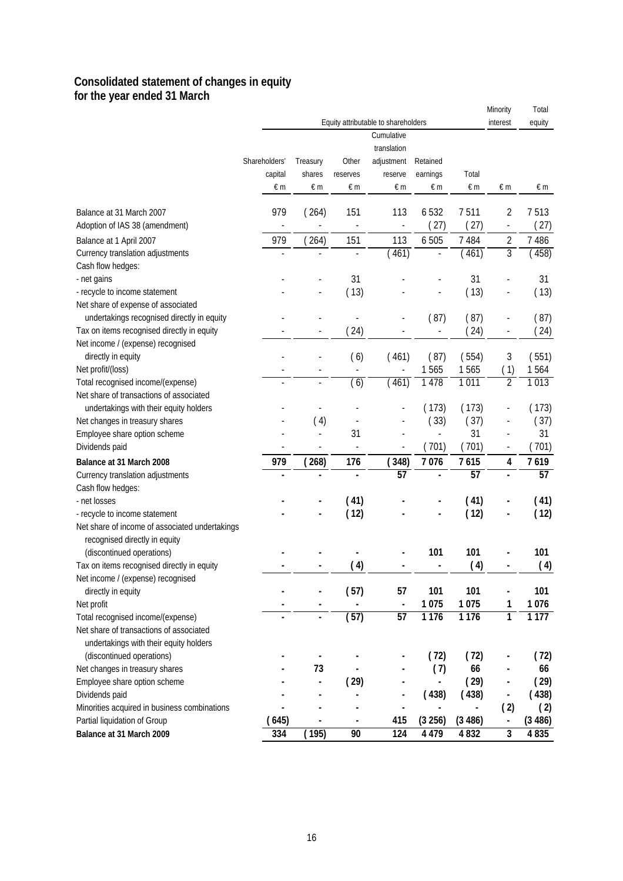## **Consolidated statement of changes in equity for the year ended 31 March**

|                                                                                  |               |                          |                |                                     |                |            | Minority                     | Total            |
|----------------------------------------------------------------------------------|---------------|--------------------------|----------------|-------------------------------------|----------------|------------|------------------------------|------------------|
|                                                                                  |               |                          |                | Equity attributable to shareholders |                |            | interest                     | equity           |
|                                                                                  |               |                          |                | Cumulative                          |                |            |                              |                  |
|                                                                                  |               |                          |                | translation                         |                |            |                              |                  |
|                                                                                  | Shareholders' | Treasury                 | Other          | adjustment                          | Retained       |            |                              |                  |
|                                                                                  | capital       | shares                   | reserves       | reserve                             | earnings       | Total      |                              |                  |
|                                                                                  | $\notin$ m    | $\notin$ m               | €m             | $\in \mathsf{m}$                    | $\notin$ m     | $\notin$ m | $\notin$ m                   | $\in \mathsf{m}$ |
| Balance at 31 March 2007                                                         | 979           | (264)                    | 151            | 113                                 | 6532           | 7511       | $\overline{2}$               | 7513             |
| Adoption of IAS 38 (amendment)                                                   |               |                          |                | $\blacksquare$                      | (27)           | (27)       | $\frac{1}{2}$                | (27)             |
| Balance at 1 April 2007                                                          | 979           | (264)                    | 151            | 113                                 | 6 5 0 5        | 7 4 8 4    | $\overline{2}$               | 7 4 8 6          |
| Currency translation adjustments                                                 | Ĭ.            |                          |                | (461)                               |                | (461)      | $\overline{3}$               | (458)            |
| Cash flow hedges:                                                                |               |                          |                |                                     |                |            |                              |                  |
| - net gains                                                                      |               |                          | 31             |                                     |                | 31         |                              | 31               |
| - recycle to income statement                                                    |               |                          | (13)           |                                     |                | (13)       |                              | (13)             |
| Net share of expense of associated<br>undertakings recognised directly in equity |               |                          | $\overline{a}$ |                                     | (87)           | (87)       |                              | (87)             |
| Tax on items recognised directly in equity                                       |               |                          | (24)           |                                     |                | (24)       | $\overline{\phantom{a}}$     | (24)             |
| Net income / (expense) recognised                                                |               |                          |                |                                     |                |            |                              |                  |
| directly in equity                                                               |               |                          | (6)            | (461)                               | (87)           | (554)      | $\sqrt{3}$                   | (551)            |
| Net profit/(loss)                                                                |               | $\overline{\phantom{a}}$ |                |                                     | 1565           | 1565       | (1)                          | 1564             |
| Total recognised income/(expense)                                                |               | $\overline{a}$           | (6)            | (461)                               | 1 4 7 8        | 1011       | $\overline{2}$               | 1013             |
| Net share of transactions of associated                                          |               |                          |                |                                     |                |            |                              |                  |
| undertakings with their equity holders                                           |               |                          |                |                                     | (173)          | (173)      |                              | (173)            |
| Net changes in treasury shares                                                   |               | (4)                      |                |                                     | (33)           | (37)       |                              | (37)             |
| Employee share option scheme                                                     |               |                          | 31             |                                     | $\blacksquare$ | 31         |                              | 31               |
| Dividends paid                                                                   |               |                          |                |                                     | (701)          | (701)      | $\overline{\phantom{0}}$     | (701)            |
| Balance at 31 March 2008                                                         | 979           | (268)                    | 176            | (348)                               | 7076           | 7615       | $\overline{\mathbf{4}}$      | 7619             |
| Currency translation adjustments                                                 |               |                          |                | 57                                  |                | 57         |                              | 57               |
| Cash flow hedges:                                                                |               |                          |                |                                     |                |            |                              |                  |
| - net losses                                                                     |               |                          | (41)           |                                     |                | (41)       |                              | (41)             |
| - recycle to income statement                                                    |               |                          | (12)           |                                     |                | (12)       |                              | (12)             |
| Net share of income of associated undertakings                                   |               |                          |                |                                     |                |            |                              |                  |
| recognised directly in equity<br>(discontinued operations)                       |               |                          |                |                                     | 101            | 101        |                              | 101              |
| Tax on items recognised directly in equity                                       |               |                          | (4)            |                                     |                | (4)        |                              | (4)              |
| Net income / (expense) recognised                                                |               |                          |                |                                     |                |            |                              |                  |
| directly in equity                                                               |               |                          | (57)           | 57                                  | 101            | 101        |                              | 101              |
| Net profit                                                                       |               |                          |                | $\blacksquare$                      | 1075           | 1075       | 1                            | 1076             |
| Total recognised income/(expense)                                                |               |                          | (57)           | $\overline{57}$                     | 1176           | 1 1 7 6    | 1                            | 1177             |
| Net share of transactions of associated                                          |               |                          |                |                                     |                |            |                              |                  |
| undertakings with their equity holders<br>(discontinued operations)              |               |                          |                |                                     | (72)           | (72)       |                              | (72)             |
| Net changes in treasury shares                                                   |               | 73                       |                |                                     | (7)            | 66         |                              | 66               |
| Employee share option scheme                                                     |               | $\blacksquare$           | (29)           |                                     | $\blacksquare$ | (29)       |                              | (29)             |
| Dividends paid                                                                   |               |                          |                |                                     | (438)          | (438)      | $\qquad \qquad \blacksquare$ | (438)            |
| Minorities acquired in business combinations                                     |               |                          |                | ä,                                  |                |            | (2)                          | (2)              |
| Partial liquidation of Group                                                     | 645)          | ٠                        |                | 415                                 | (3 256)        | (3486)     | ÷                            | (3486)           |
| Balance at 31 March 2009                                                         | 334           | (195)                    | 90             | 124                                 | 4 4 7 9        | 4832       | 3                            | 4835             |
|                                                                                  |               |                          |                |                                     |                |            |                              |                  |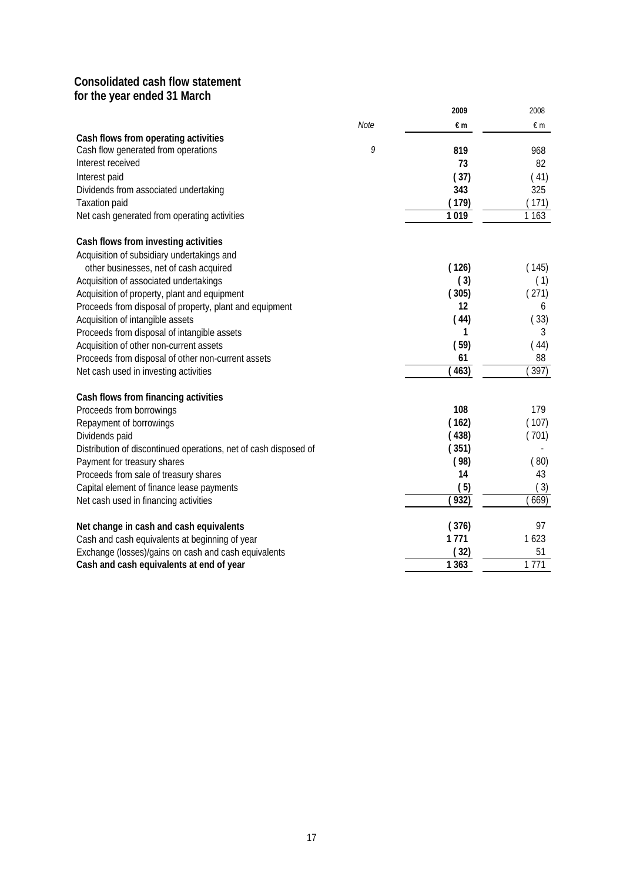## **Consolidated cash flow statement for the year ended 31 March**

| <b>Note</b><br>€m<br>€m<br>Cash flow generated from operations<br>9<br>819<br>968<br>73<br>82<br>(37)<br>(41)<br>343<br>325<br>(179)<br>171)<br>1019<br>1 1 6 3<br>Acquisition of subsidiary undertakings and<br>(126)<br>(145)<br>other businesses, net of cash acquired<br>Acquisition of associated undertakings<br>(3)<br>(1)<br>(305)<br>Acquisition of property, plant and equipment<br>(271)<br>12<br>Proceeds from disposal of property, plant and equipment<br>6<br>Acquisition of intangible assets<br>(44)<br>33)<br>Proceeds from disposal of intangible assets<br>1<br>3<br>(59)<br>(44)<br>Acquisition of other non-current assets<br>61<br>88<br>463)<br>397)<br>Cash flows from financing activities<br>108<br>179<br>(162)<br>(107)<br>(438)<br>(701)<br>(351)<br>(98)<br>(80)<br>14<br>43<br>(5)<br>(3)<br>(932)<br>669)<br>Net cash used in financing activities<br>(376)<br>97<br>1771<br>1623<br>(32)<br>51<br>Exchange (losses)/gains on cash and cash equivalents<br>1771<br>1 3 6 3 |                                                                  | 2009 | 2008 |
|-------------------------------------------------------------------------------------------------------------------------------------------------------------------------------------------------------------------------------------------------------------------------------------------------------------------------------------------------------------------------------------------------------------------------------------------------------------------------------------------------------------------------------------------------------------------------------------------------------------------------------------------------------------------------------------------------------------------------------------------------------------------------------------------------------------------------------------------------------------------------------------------------------------------------------------------------------------------------------------------------------------|------------------------------------------------------------------|------|------|
|                                                                                                                                                                                                                                                                                                                                                                                                                                                                                                                                                                                                                                                                                                                                                                                                                                                                                                                                                                                                             |                                                                  |      |      |
|                                                                                                                                                                                                                                                                                                                                                                                                                                                                                                                                                                                                                                                                                                                                                                                                                                                                                                                                                                                                             | Cash flows from operating activities                             |      |      |
|                                                                                                                                                                                                                                                                                                                                                                                                                                                                                                                                                                                                                                                                                                                                                                                                                                                                                                                                                                                                             |                                                                  |      |      |
|                                                                                                                                                                                                                                                                                                                                                                                                                                                                                                                                                                                                                                                                                                                                                                                                                                                                                                                                                                                                             | Interest received                                                |      |      |
|                                                                                                                                                                                                                                                                                                                                                                                                                                                                                                                                                                                                                                                                                                                                                                                                                                                                                                                                                                                                             | Interest paid                                                    |      |      |
|                                                                                                                                                                                                                                                                                                                                                                                                                                                                                                                                                                                                                                                                                                                                                                                                                                                                                                                                                                                                             | Dividends from associated undertaking                            |      |      |
|                                                                                                                                                                                                                                                                                                                                                                                                                                                                                                                                                                                                                                                                                                                                                                                                                                                                                                                                                                                                             | <b>Taxation paid</b>                                             |      |      |
|                                                                                                                                                                                                                                                                                                                                                                                                                                                                                                                                                                                                                                                                                                                                                                                                                                                                                                                                                                                                             | Net cash generated from operating activities                     |      |      |
|                                                                                                                                                                                                                                                                                                                                                                                                                                                                                                                                                                                                                                                                                                                                                                                                                                                                                                                                                                                                             | Cash flows from investing activities                             |      |      |
|                                                                                                                                                                                                                                                                                                                                                                                                                                                                                                                                                                                                                                                                                                                                                                                                                                                                                                                                                                                                             |                                                                  |      |      |
|                                                                                                                                                                                                                                                                                                                                                                                                                                                                                                                                                                                                                                                                                                                                                                                                                                                                                                                                                                                                             |                                                                  |      |      |
|                                                                                                                                                                                                                                                                                                                                                                                                                                                                                                                                                                                                                                                                                                                                                                                                                                                                                                                                                                                                             |                                                                  |      |      |
|                                                                                                                                                                                                                                                                                                                                                                                                                                                                                                                                                                                                                                                                                                                                                                                                                                                                                                                                                                                                             |                                                                  |      |      |
|                                                                                                                                                                                                                                                                                                                                                                                                                                                                                                                                                                                                                                                                                                                                                                                                                                                                                                                                                                                                             |                                                                  |      |      |
|                                                                                                                                                                                                                                                                                                                                                                                                                                                                                                                                                                                                                                                                                                                                                                                                                                                                                                                                                                                                             |                                                                  |      |      |
|                                                                                                                                                                                                                                                                                                                                                                                                                                                                                                                                                                                                                                                                                                                                                                                                                                                                                                                                                                                                             |                                                                  |      |      |
|                                                                                                                                                                                                                                                                                                                                                                                                                                                                                                                                                                                                                                                                                                                                                                                                                                                                                                                                                                                                             |                                                                  |      |      |
|                                                                                                                                                                                                                                                                                                                                                                                                                                                                                                                                                                                                                                                                                                                                                                                                                                                                                                                                                                                                             | Proceeds from disposal of other non-current assets               |      |      |
|                                                                                                                                                                                                                                                                                                                                                                                                                                                                                                                                                                                                                                                                                                                                                                                                                                                                                                                                                                                                             | Net cash used in investing activities                            |      |      |
|                                                                                                                                                                                                                                                                                                                                                                                                                                                                                                                                                                                                                                                                                                                                                                                                                                                                                                                                                                                                             |                                                                  |      |      |
|                                                                                                                                                                                                                                                                                                                                                                                                                                                                                                                                                                                                                                                                                                                                                                                                                                                                                                                                                                                                             | Proceeds from borrowings                                         |      |      |
|                                                                                                                                                                                                                                                                                                                                                                                                                                                                                                                                                                                                                                                                                                                                                                                                                                                                                                                                                                                                             | Repayment of borrowings                                          |      |      |
|                                                                                                                                                                                                                                                                                                                                                                                                                                                                                                                                                                                                                                                                                                                                                                                                                                                                                                                                                                                                             | Dividends paid                                                   |      |      |
|                                                                                                                                                                                                                                                                                                                                                                                                                                                                                                                                                                                                                                                                                                                                                                                                                                                                                                                                                                                                             | Distribution of discontinued operations, net of cash disposed of |      |      |
|                                                                                                                                                                                                                                                                                                                                                                                                                                                                                                                                                                                                                                                                                                                                                                                                                                                                                                                                                                                                             | Payment for treasury shares                                      |      |      |
|                                                                                                                                                                                                                                                                                                                                                                                                                                                                                                                                                                                                                                                                                                                                                                                                                                                                                                                                                                                                             | Proceeds from sale of treasury shares                            |      |      |
|                                                                                                                                                                                                                                                                                                                                                                                                                                                                                                                                                                                                                                                                                                                                                                                                                                                                                                                                                                                                             | Capital element of finance lease payments                        |      |      |
|                                                                                                                                                                                                                                                                                                                                                                                                                                                                                                                                                                                                                                                                                                                                                                                                                                                                                                                                                                                                             |                                                                  |      |      |
|                                                                                                                                                                                                                                                                                                                                                                                                                                                                                                                                                                                                                                                                                                                                                                                                                                                                                                                                                                                                             | Net change in cash and cash equivalents                          |      |      |
|                                                                                                                                                                                                                                                                                                                                                                                                                                                                                                                                                                                                                                                                                                                                                                                                                                                                                                                                                                                                             | Cash and cash equivalents at beginning of year                   |      |      |
|                                                                                                                                                                                                                                                                                                                                                                                                                                                                                                                                                                                                                                                                                                                                                                                                                                                                                                                                                                                                             |                                                                  |      |      |
|                                                                                                                                                                                                                                                                                                                                                                                                                                                                                                                                                                                                                                                                                                                                                                                                                                                                                                                                                                                                             | Cash and cash equivalents at end of year                         |      |      |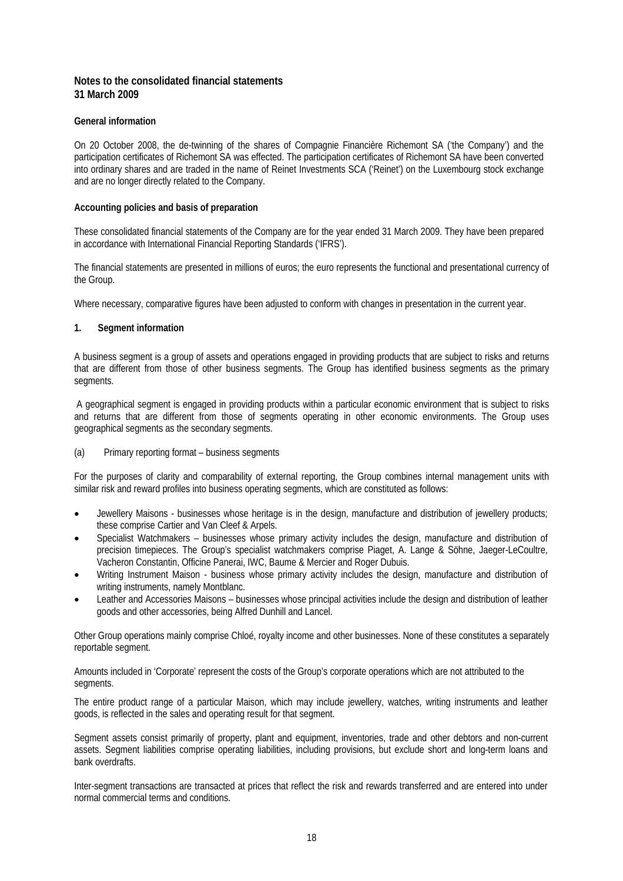## **Notes to the consolidated financial statements 31 March 2009**

#### **General information**

On 20 October 2008, the de-twinning of the shares of Compagnie Financière Richemont SA ('the Company') and the participation certificates of Richemont SA was effected. The participation certificates of Richemont SA have been converted into ordinary shares and are traded in the name of Reinet Investments SCA ('Reinet') on the Luxembourg stock exchange and are no longer directly related to the Company.

#### **Accounting policies and basis of preparation**

These consolidated financial statements of the Company are for the year ended 31 March 2009. They have been prepared in accordance with International Financial Reporting Standards ('IFRS').

The financial statements are presented in millions of euros; the euro represents the functional and presentational currency of the Group.

Where necessary, comparative figures have been adjusted to conform with changes in presentation in the current year.

#### **1. Segment information**

A business segment is a group of assets and operations engaged in providing products that are subject to risks and returns that are different from those of other business segments. The Group has identified business segments as the primary segments.

 A geographical segment is engaged in providing products within a particular economic environment that is subject to risks and returns that are different from those of segments operating in other economic environments. The Group uses geographical segments as the secondary segments.

## (a) Primary reporting format – business segments

For the purposes of clarity and comparability of external reporting, the Group combines internal management units with similar risk and reward profiles into business operating segments, which are constituted as follows:

- Jewellery Maisons businesses whose heritage is in the design, manufacture and distribution of jewellery products; these comprise Cartier and Van Cleef & Arpels.
- Specialist Watchmakers businesses whose primary activity includes the design, manufacture and distribution of precision timepieces. The Group's specialist watchmakers comprise Piaget, A. Lange & Söhne, Jaeger-LeCoultre, Vacheron Constantin, Officine Panerai, IWC, Baume & Mercier and Roger Dubuis.
- Writing Instrument Maison business whose primary activity includes the design, manufacture and distribution of writing instruments, namely Montblanc.
- Leather and Accessories Maisons businesses whose principal activities include the design and distribution of leather goods and other accessories, being Alfred Dunhill and Lancel.

Other Group operations mainly comprise Chloé, royalty income and other businesses. None of these constitutes a separately reportable segment.

Amounts included in 'Corporate' represent the costs of the Group's corporate operations which are not attributed to the segments.

The entire product range of a particular Maison, which may include jewellery, watches, writing instruments and leather goods, is reflected in the sales and operating result for that segment.

Segment assets consist primarily of property, plant and equipment, inventories, trade and other debtors and non-current assets. Segment liabilities comprise operating liabilities, including provisions, but exclude short and long-term loans and bank overdrafts.

Inter-segment transactions are transacted at prices that reflect the risk and rewards transferred and are entered into under normal commercial terms and conditions.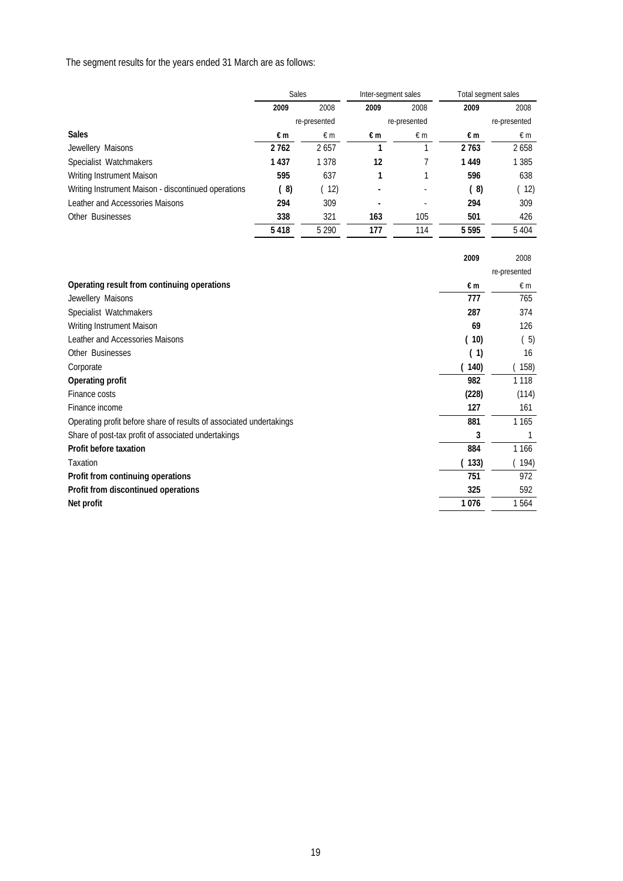The segment results for the years ended 31 March are as follows:

|                                                     | Sales |              | Inter-segment sales |              | Total segment sales |              |
|-----------------------------------------------------|-------|--------------|---------------------|--------------|---------------------|--------------|
|                                                     | 2009  | 2008         | 2009                | 2008         | 2009                | 2008         |
|                                                     |       | re-presented |                     | re-presented |                     | re-presented |
| <b>Sales</b>                                        | €m    | $\epsilon$ m | €m                  | €m           | €m                  | €m           |
| Jewellery Maisons                                   | 2762  | 2657         |                     |              | 2763                | 2658         |
| Specialist Watchmakers                              | 1437  | 1 3 7 8      | 12                  |              | 1449                | 1 3 8 5      |
| Writing Instrument Maison                           | 595   | 637          |                     |              | 596                 | 638          |
| Writing Instrument Maison - discontinued operations | (8)   | 12)          |                     | ٠            | (8)                 | (12)         |
| Leather and Accessories Maisons                     | 294   | 309          |                     |              | 294                 | 309          |
| Other Businesses                                    | 338   | 321          | 163                 | 105          | 501                 | 426          |
|                                                     | 5418  | 5 2 9 0      | 177                 | 114          | 5595                | 5 4 0 4      |

|                                                                     | 2009  | 2008         |
|---------------------------------------------------------------------|-------|--------------|
|                                                                     |       | re-presented |
| Operating result from continuing operations                         | €m    | €m           |
| Jewellery Maisons                                                   | 777   | 765          |
| Specialist Watchmakers                                              | 287   | 374          |
| Writing Instrument Maison                                           | 69    | 126          |
| Leather and Accessories Maisons                                     | 10)   | (5)          |
| Other Businesses                                                    | (1)   | 16           |
| Corporate                                                           | (140) | 158)         |
| Operating profit                                                    | 982   | 1 1 1 8      |
| Finance costs                                                       | (228) | (114)        |
| Finance income                                                      | 127   | 161          |
| Operating profit before share of results of associated undertakings | 881   | 1 1 6 5      |
| Share of post-tax profit of associated undertakings                 | 3     | 1            |
| Profit before taxation                                              | 884   | 1 1 6 6      |
| Taxation                                                            | (133) | (194)        |
| Profit from continuing operations                                   | 751   | 972          |
| Profit from discontinued operations                                 | 325   | 592          |
| Net profit                                                          | 1076  | 1564         |
|                                                                     |       |              |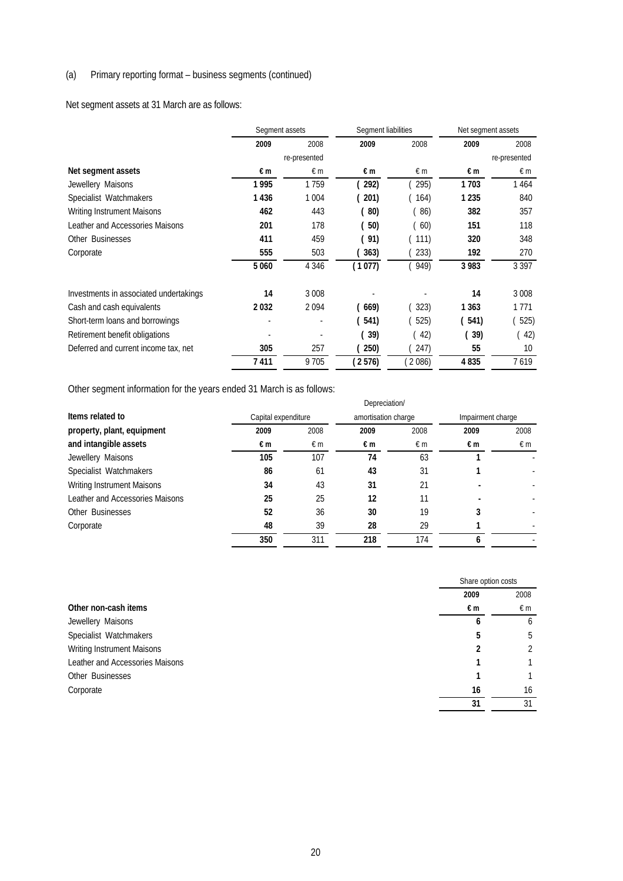## (a) Primary reporting format – business segments (continued)

Net segment assets at 31 March are as follows:

|                                        | Segment assets |                          | Segment liabilities |      | Net segment assets |              |
|----------------------------------------|----------------|--------------------------|---------------------|------|--------------------|--------------|
|                                        | 2009           | 2008                     | 2009                | 2008 | 2009               | 2008         |
|                                        |                | re-presented             |                     |      |                    | re-presented |
| Net segment assets                     | €m             | €m                       | €m                  | €m   | €m                 | €m           |
| Jewellery Maisons                      | 1995           | 1759                     | 292)                | 295) | 1703               | 1464         |
| Specialist Watchmakers                 | 1436           | 1 0 0 4                  | 201)                | 164) | 1 2 3 5            | 840          |
| <b>Writing Instrument Maisons</b>      | 462            | 443                      | ( 80)               | (86) | 382                | 357          |
| Leather and Accessories Maisons        | 201            | 178                      | (50)                | (60) | 151                | 118          |
| Other Businesses                       | 411            | 459                      | (91)                | 111) | 320                | 348          |
| Corporate                              | 555            | 503                      | 363)                | 233) | 192                | 270          |
|                                        | 5 0 6 0        | 4 3 4 6                  | (1077)              | 949) | 3 9 8 3            | 3 3 9 7      |
| Investments in associated undertakings | 14             | 3 0 0 8                  |                     |      | 14                 | 3 0 0 8      |
| Cash and cash equivalents              | 2032           | 2094                     | 669)                | 323) | 1 3 6 3            | 1771         |
| Short-term loans and borrowings        | ٠              | $\overline{\phantom{a}}$ | 541)                | 525) | (541)              | 525)         |
| Retirement benefit obligations         | ٠              | ٠                        | (39)                | (42) | 39)                | 42)          |
| Deferred and current income tax, net   | 305            | 257                      | 250)                | 247) | 55                 | 10           |
|                                        | 7411           | 9705                     | (2576)              | 2086 | 4835               | 7619         |

Other segment information for the years ended 31 March is as follows:

|                                 |      |                     | Depreciation/ |                     |                   |      |
|---------------------------------|------|---------------------|---------------|---------------------|-------------------|------|
| Items related to                |      | Capital expenditure |               | amortisation charge | Impairment charge |      |
| property, plant, equipment      | 2009 | 2008                | 2009          | 2008                | 2009              | 2008 |
| and intangible assets           | €m   | €m                  | €m            | €m                  | €m                | €m   |
| Jewellery Maisons               | 105  | 107                 | 74            | 63                  |                   |      |
| Specialist Watchmakers          | 86   | 61                  | 43            | 31                  |                   |      |
| Writing Instrument Maisons      | 34   | 43                  | 31            | 21                  |                   |      |
| Leather and Accessories Maisons | 25   | 25                  | 12            |                     |                   |      |
| Other Businesses                | 52   | 36                  | 30            | 19                  |                   |      |
| Corporate                       | 48   | 39                  | 28            | 29                  |                   |      |
|                                 | 350  | 311                 | 218           | 174                 |                   |      |

|                                 |      | Share option costs |  |
|---------------------------------|------|--------------------|--|
|                                 | 2009 | 2008               |  |
| Other non-cash items            | €m   | €m                 |  |
| Jewellery Maisons               | h    | <sub>b</sub>       |  |
| Specialist Watchmakers          | 5    | 5                  |  |
| Writing Instrument Maisons      |      |                    |  |
| Leather and Accessories Maisons |      |                    |  |
| Other Businesses                |      |                    |  |
| Corporate                       | 16   | 16                 |  |
|                                 | 31   | 31                 |  |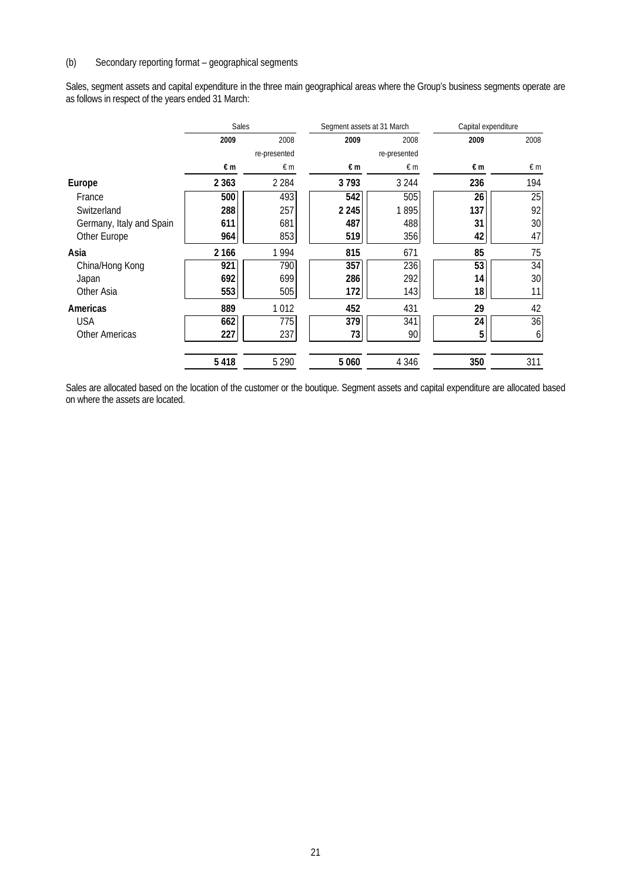## (b) Secondary reporting format – geographical segments

Sales, segment assets and capital expenditure in the three main geographical areas where the Group's business segments operate are as follows in respect of the years ended 31 March:

|                          | Sales   |              | Segment assets at 31 March |              |      | Capital expenditure |  |
|--------------------------|---------|--------------|----------------------------|--------------|------|---------------------|--|
|                          | 2009    | 2008         | 2009                       | 2008         | 2009 | 2008                |  |
|                          |         | re-presented |                            | re-presented |      |                     |  |
|                          | €m      | $\epsilon$ m | €m                         | $\notin$ m   | €m   | €m                  |  |
| Europe                   | 2 3 6 3 | 2 2 8 4      | 3793                       | 3 2 4 4      | 236  | 194                 |  |
| France                   | 500     | 493          | 542                        | 505          | 26   | 25                  |  |
| Switzerland              | 288     | 257          | 2 2 4 5                    | 1895         | 137  | 92                  |  |
| Germany, Italy and Spain | 611     | 681          | 487                        | 488          | 31   | 30                  |  |
| Other Europe             | 964     | 853          | 519                        | 356          | 42   | 47                  |  |
| Asia                     | 2 166   | 1994         | 815                        | 671          | 85   | 75                  |  |
| China/Hong Kong          | 921     | 790          | 357                        | 236          | 53   | 34                  |  |
| Japan                    | 692     | 699          | 286                        | 292          | 14   | 30                  |  |
| Other Asia               | 553     | 505          | 172                        | 143          | 18   | 11                  |  |
| Americas                 | 889     | 1012         | 452                        | 431          | 29   | 42                  |  |
| <b>USA</b>               | 662     | 775          | 379                        | 341          | 24   | 36                  |  |
| <b>Other Americas</b>    | 227     | 237          | 73                         | 90           | 5    | 6                   |  |
|                          | 5418    | 5 2 9 0      | 5 0 6 0                    | 4 3 4 6      | 350  | 311                 |  |

Sales are allocated based on the location of the customer or the boutique. Segment assets and capital expenditure are allocated based on where the assets are located.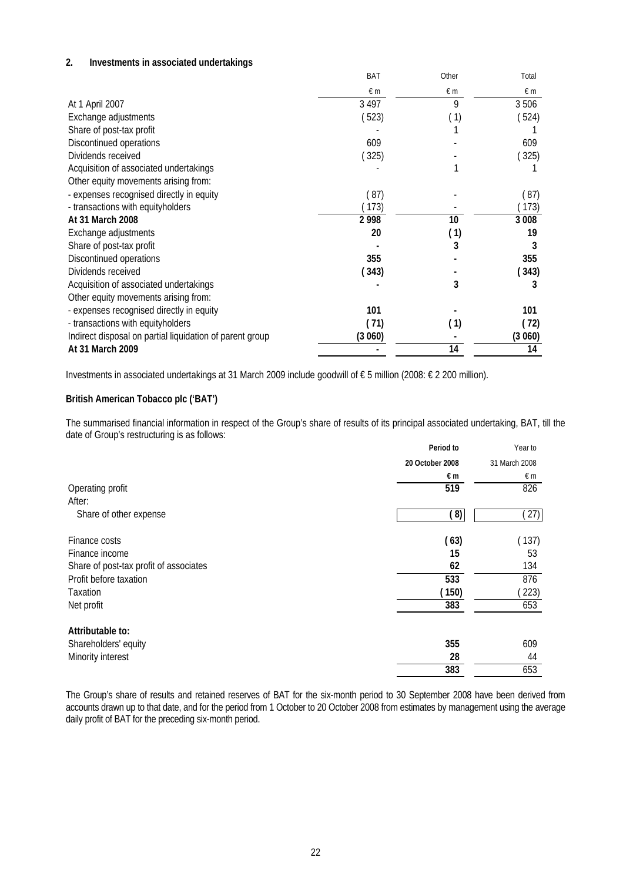#### **2. Investments in associated undertakings**

|                                                          | BAT        | Other | Total   |
|----------------------------------------------------------|------------|-------|---------|
|                                                          | $\notin$ m | €m    | €m      |
| At 1 April 2007                                          | 3 4 9 7    | 9     | 3506    |
| Exchange adjustments                                     | 523)       | (1)   | (524)   |
| Share of post-tax profit                                 |            |       |         |
| Discontinued operations                                  | 609        |       | 609     |
| Dividends received                                       | 325)       |       | 325)    |
| Acquisition of associated undertakings                   |            |       |         |
| Other equity movements arising from:                     |            |       |         |
| - expenses recognised directly in equity                 | (87)       |       | (87)    |
| - transactions with equityholders                        | 173)       |       | (173)   |
| At 31 March 2008                                         | 2998       | 10    | 3 0 0 8 |
| Exchange adjustments                                     | 20         | (1)   | 19      |
| Share of post-tax profit                                 |            | 3     | 3       |
| Discontinued operations                                  | 355        |       | 355     |
| Dividends received                                       | (343)      |       | (343)   |
| Acquisition of associated undertakings                   |            | 3     | 3       |
| Other equity movements arising from:                     |            |       |         |
| - expenses recognised directly in equity                 | 101        |       | 101     |
| - transactions with equityholders                        | (71)       | (1)   | (72)    |
| Indirect disposal on partial liquidation of parent group | (3060)     |       | (3060)  |
| At 31 March 2009                                         |            | 14    | 14      |

Investments in associated undertakings at 31 March 2009 include goodwill of € 5 million (2008: € 2 200 million).

#### **British American Tobacco plc ('BAT')**

The summarised financial information in respect of the Group's share of results of its principal associated undertaking, BAT, till the date of Group's restructuring is as follows:

|                                        | Period to       | Year to       |
|----------------------------------------|-----------------|---------------|
|                                        | 20 October 2008 | 31 March 2008 |
|                                        | €m              | $\notin$ m    |
| Operating profit                       | 519             | 826           |
| After:                                 |                 |               |
| Share of other expense                 | (8)             | (27)          |
| Finance costs                          | (63)            | (137)         |
| Finance income                         | 15              | 53            |
| Share of post-tax profit of associates | 62              | 134           |
| Profit before taxation                 | 533             | 876           |
| Taxation                               | (150)           | (223)         |
| Net profit                             | 383             | 653           |
| Attributable to:                       |                 |               |
| Shareholders' equity                   | 355             | 609           |
| Minority interest                      | 28              | 44            |
|                                        | 383             | 653           |

The Group's share of results and retained reserves of BAT for the six-month period to 30 September 2008 have been derived from accounts drawn up to that date, and for the period from 1 October to 20 October 2008 from estimates by management using the average daily profit of BAT for the preceding six-month period.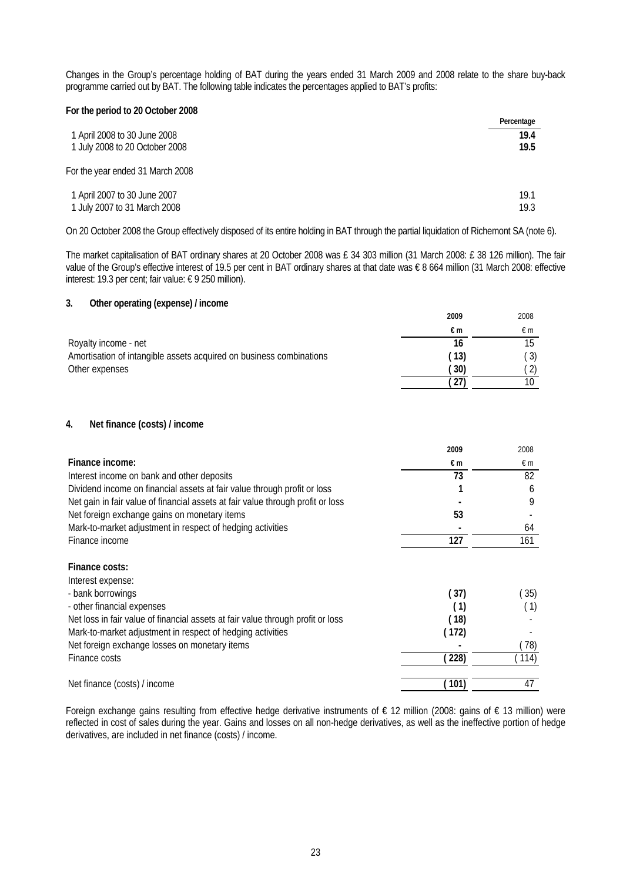Changes in the Group's percentage holding of BAT during the years ended 31 March 2009 and 2008 relate to the share buy-back programme carried out by BAT. The following table indicates the percentages applied to BAT's profits:

| For the period to 20 October 2008 |            |
|-----------------------------------|------------|
|                                   | Percentage |
| 1 April 2008 to 30 June 2008      | 19.4       |
| 1 July 2008 to 20 October 2008    | 19.5       |
| For the year ended 31 March 2008  |            |
| 1 April 2007 to 30 June 2007      | 19.1       |
| 1 July 2007 to 31 March 2008      | 19.3       |

On 20 October 2008 the Group effectively disposed of its entire holding in BAT through the partial liquidation of Richemont SA (note 6).

The market capitalisation of BAT ordinary shares at 20 October 2008 was £ 34 303 million (31 March 2008: £ 38 126 million). The fair value of the Group's effective interest of 19.5 per cent in BAT ordinary shares at that date was € 8 664 million (31 March 2008: effective interest: 19.3 per cent; fair value: € 9 250 million).

#### **3. Other operating (expense) / income**

|                                                                     | 2009 | 2008             |
|---------------------------------------------------------------------|------|------------------|
|                                                                     | €m   | €m               |
| Royalty income - net                                                | 16   |                  |
| Amortisation of intangible assets acquired on business combinations | (13) | $\left(3\right)$ |
| Other expenses                                                      | 30)  |                  |
|                                                                     |      |                  |

#### **4. Net finance (costs) / income**

|                                                                                 | 2009  | 2008       |
|---------------------------------------------------------------------------------|-------|------------|
| Finance income:                                                                 | €m    | $\notin$ m |
| Interest income on bank and other deposits                                      | 73    | 82         |
| Dividend income on financial assets at fair value through profit or loss        |       | 6          |
| Net gain in fair value of financial assets at fair value through profit or loss |       | 9          |
| Net foreign exchange gains on monetary items                                    | 53    |            |
| Mark-to-market adjustment in respect of hedging activities                      |       | 64         |
| Finance income                                                                  | 127   | 161        |
| Finance costs:                                                                  |       |            |
| Interest expense:                                                               |       |            |
| - bank borrowings                                                               | (37)  | 35)        |
| - other financial expenses                                                      | (1)   | (1)        |
| Net loss in fair value of financial assets at fair value through profit or loss | (18)  |            |
| Mark-to-market adjustment in respect of hedging activities                      | (172) |            |
| Net foreign exchange losses on monetary items                                   |       | 78)        |
| Finance costs                                                                   | (228) | (114)      |
| Net finance (costs) / income                                                    | (101) | 47         |

Foreign exchange gains resulting from effective hedge derivative instruments of  $\epsilon$  12 million (2008: gains of  $\epsilon$  13 million) were reflected in cost of sales during the year. Gains and losses on all non-hedge derivatives, as well as the ineffective portion of hedge derivatives, are included in net finance (costs) / income.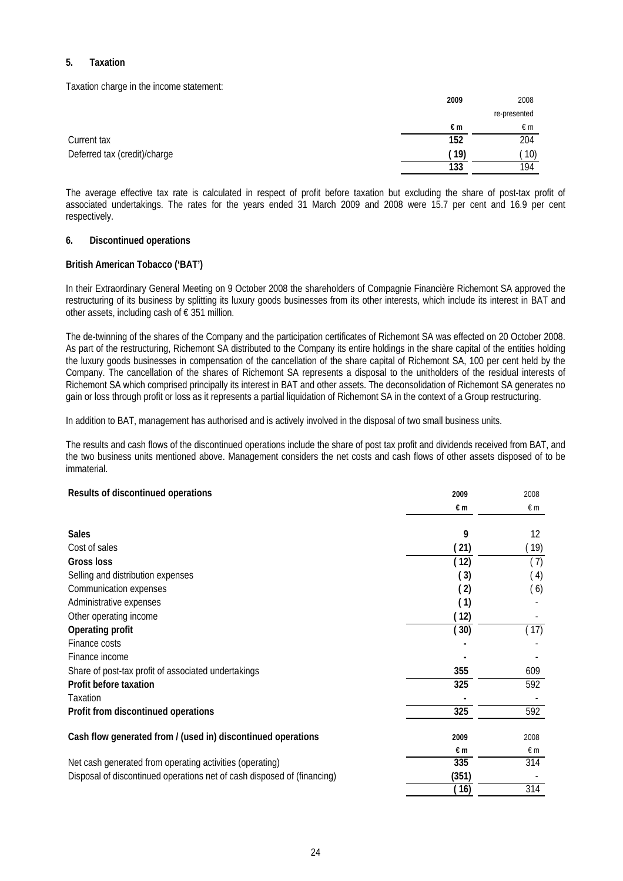### **5. Taxation**

Taxation charge in the income statement:

|                              | 2009 | 2008         |
|------------------------------|------|--------------|
|                              |      | re-presented |
|                              | €m   | €m           |
| Current tax                  | 152  | 204          |
| Deferred tax (credit)/charge | (19) | 10)          |
|                              | 133  | 194          |

The average effective tax rate is calculated in respect of profit before taxation but excluding the share of post-tax profit of associated undertakings. The rates for the years ended 31 March 2009 and 2008 were 15.7 per cent and 16.9 per cent respectively.

#### **6. Discontinued operations**

#### **British American Tobacco ('BAT')**

In their Extraordinary General Meeting on 9 October 2008 the shareholders of Compagnie Financière Richemont SA approved the restructuring of its business by splitting its luxury goods businesses from its other interests, which include its interest in BAT and other assets, including cash of  $\epsilon$  351 million.

The de-twinning of the shares of the Company and the participation certificates of Richemont SA was effected on 20 October 2008. As part of the restructuring, Richemont SA distributed to the Company its entire holdings in the share capital of the entities holding the luxury goods businesses in compensation of the cancellation of the share capital of Richemont SA, 100 per cent held by the Company. The cancellation of the shares of Richemont SA represents a disposal to the unitholders of the residual interests of Richemont SA which comprised principally its interest in BAT and other assets. The deconsolidation of Richemont SA generates no gain or loss through profit or loss as it represents a partial liquidation of Richemont SA in the context of a Group restructuring.

In addition to BAT, management has authorised and is actively involved in the disposal of two small business units.

The results and cash flows of the discontinued operations include the share of post tax profit and dividends received from BAT, and the two business units mentioned above. Management considers the net costs and cash flows of other assets disposed of to be immaterial.

| Results of discontinued operations                                      | 2009       | 2008       |
|-------------------------------------------------------------------------|------------|------------|
|                                                                         | €m         | $\notin$ m |
| <b>Sales</b>                                                            | 9          | 12         |
| Cost of sales                                                           | (21)       | (19)       |
| Gross loss                                                              | (12)       | (7)        |
| Selling and distribution expenses                                       | (3)        | (4)        |
| Communication expenses                                                  | (2)        | (6)        |
| Administrative expenses                                                 | (1)        |            |
| Other operating income                                                  | (12)       |            |
| Operating profit                                                        | (30)       | (17)       |
| Finance costs                                                           |            |            |
| Finance income                                                          |            |            |
| Share of post-tax profit of associated undertakings                     | 355        | 609        |
| Profit before taxation                                                  | 325        | 592        |
| Taxation                                                                |            |            |
| Profit from discontinued operations                                     | 325        | 592        |
| Cash flow generated from / (used in) discontinued operations            | 2009       | 2008       |
|                                                                         | $\n  in\n$ | $\notin$ m |
| Net cash generated from operating activities (operating)                | 335        | 314        |
| Disposal of discontinued operations net of cash disposed of (financing) | (351)      |            |
|                                                                         | (16)       | 314        |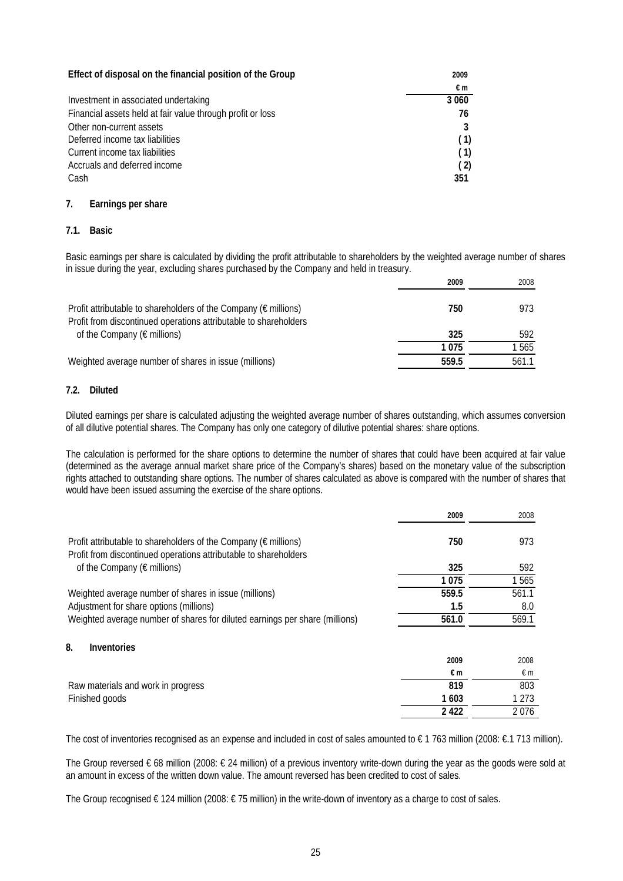| Effect of disposal on the financial position of the Group  | 2009    |
|------------------------------------------------------------|---------|
|                                                            | €m      |
| Investment in associated undertaking                       | 3 0 6 0 |
| Financial assets held at fair value through profit or loss | 76      |
| Other non-current assets                                   |         |
| Deferred income tax liabilities                            | (1)     |
| Current income tax liabilities                             | (1)     |
| Accruals and deferred income                               | (2)     |
| Cash                                                       | 351     |

### **7. Earnings per share**

## **7.1. Basic**

Basic earnings per share is calculated by dividing the profit attributable to shareholders by the weighted average number of shares in issue during the year, excluding shares purchased by the Company and held in treasury.

|                                                                                                                                               | 2009  | 2008  |
|-----------------------------------------------------------------------------------------------------------------------------------------------|-------|-------|
| Profit attributable to shareholders of the Company ( $\epsilon$ millions)<br>Profit from discontinued operations attributable to shareholders | 750   | 973   |
| of the Company ( $\epsilon$ millions)                                                                                                         | 325   | 592   |
|                                                                                                                                               | 1075  | 1565  |
| Weighted average number of shares in issue (millions)                                                                                         | 559.5 | 561.1 |

#### **7.2. Diluted**

Diluted earnings per share is calculated adjusting the weighted average number of shares outstanding, which assumes conversion of all dilutive potential shares. The Company has only one category of dilutive potential shares: share options.

The calculation is performed for the share options to determine the number of shares that could have been acquired at fair value (determined as the average annual market share price of the Company's shares) based on the monetary value of the subscription rights attached to outstanding share options. The number of shares calculated as above is compared with the number of shares that would have been issued assuming the exercise of the share options.

|                                                                                                                                     | 2009  | 2008    |
|-------------------------------------------------------------------------------------------------------------------------------------|-------|---------|
| Profit attributable to shareholders of the Company (€ millions)<br>Profit from discontinued operations attributable to shareholders | 750   | 973     |
| of the Company ( $\epsilon$ millions)                                                                                               | 325   | 592     |
|                                                                                                                                     | 1075  | 1565    |
| Weighted average number of shares in issue (millions)                                                                               | 559.5 | 561.1   |
| Adjustment for share options (millions)                                                                                             | 1.5   | 8.0     |
| Weighted average number of shares for diluted earnings per share (millions)                                                         | 561.0 | 569.1   |
| 8.<br>Inventories                                                                                                                   |       |         |
|                                                                                                                                     | 2009  | 2008    |
|                                                                                                                                     | €m    | €m      |
| Raw materials and work in progress                                                                                                  | 819   | 803     |
| Finished goods                                                                                                                      | 1603  | 1 2 7 3 |
|                                                                                                                                     | 2422  | 2076    |

The cost of inventories recognised as an expense and included in cost of sales amounted to € 1 763 million (2008: €.1 713 million).

The Group reversed € 68 million (2008: € 24 million) of a previous inventory write-down during the year as the goods were sold at an amount in excess of the written down value. The amount reversed has been credited to cost of sales.

The Group recognised € 124 million (2008: € 75 million) in the write-down of inventory as a charge to cost of sales.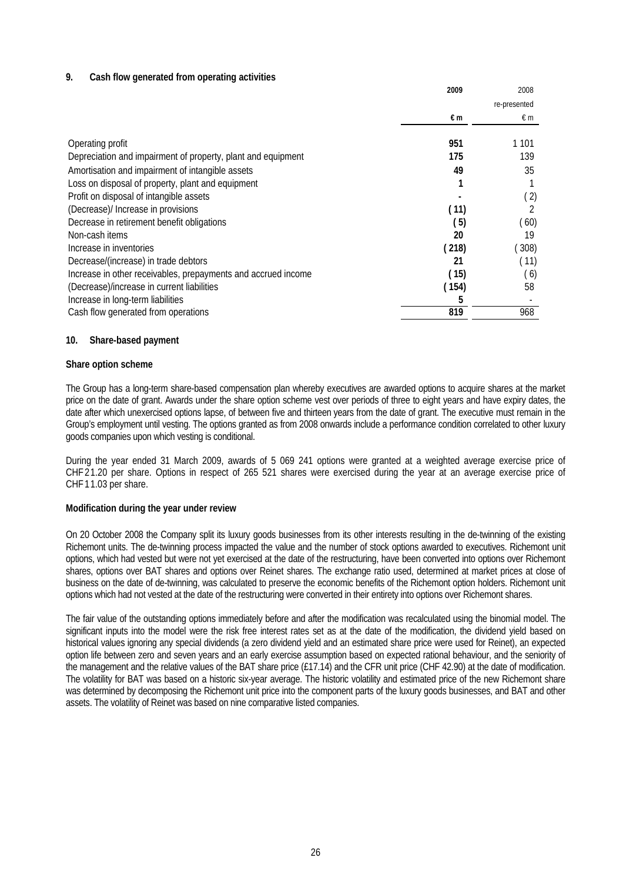## **9. Cash flow generated from operating activities**

|                                                               | 2009  | 2008         |
|---------------------------------------------------------------|-------|--------------|
|                                                               |       | re-presented |
|                                                               | €m    | €m           |
| Operating profit                                              | 951   | 1 1 0 1      |
| Depreciation and impairment of property, plant and equipment  | 175   | 139          |
| Amortisation and impairment of intangible assets              | 49    | 35           |
| Loss on disposal of property, plant and equipment             |       |              |
| Profit on disposal of intangible assets                       |       | (2)          |
| (Decrease)/ Increase in provisions                            | (11)  |              |
| Decrease in retirement benefit obligations                    | (5)   | 60)          |
| Non-cash items                                                | 20    | 19           |
| Increase in inventories                                       | (218) | 308          |
| Decrease/(increase) in trade debtors                          | 21    | (11)         |
| Increase in other receivables, prepayments and accrued income | (15)  | (6)          |
| (Decrease)/increase in current liabilities                    | (154) | 58           |
| Increase in long-term liabilities                             | 5     |              |
| Cash flow generated from operations                           | 819   | 968          |

#### **10. Share-based payment**

#### **Share option scheme**

The Group has a long-term share-based compensation plan whereby executives are awarded options to acquire shares at the market price on the date of grant. Awards under the share option scheme vest over periods of three to eight years and have expiry dates, the date after which unexercised options lapse, of between five and thirteen years from the date of grant. The executive must remain in the Group's employment until vesting. The options granted as from 2008 onwards include a performance condition correlated to other luxury goods companies upon which vesting is conditional.

During the year ended 31 March 2009, awards of 5 069 241 options were granted at a weighted average exercise price of CHF21.20 per share. Options in respect of 265 521 shares were exercised during the year at an average exercise price of CHF11.03 per share.

#### **Modification during the year under review**

On 20 October 2008 the Company split its luxury goods businesses from its other interests resulting in the de-twinning of the existing Richemont units. The de-twinning process impacted the value and the number of stock options awarded to executives. Richemont unit options, which had vested but were not yet exercised at the date of the restructuring, have been converted into options over Richemont shares, options over BAT shares and options over Reinet shares. The exchange ratio used, determined at market prices at close of business on the date of de-twinning, was calculated to preserve the economic benefits of the Richemont option holders. Richemont unit options which had not vested at the date of the restructuring were converted in their entirety into options over Richemont shares.

The fair value of the outstanding options immediately before and after the modification was recalculated using the binomial model. The significant inputs into the model were the risk free interest rates set as at the date of the modification, the dividend yield based on historical values ignoring any special dividends (a zero dividend yield and an estimated share price were used for Reinet), an expected option life between zero and seven years and an early exercise assumption based on expected rational behaviour, and the seniority of the management and the relative values of the BAT share price (£17.14) and the CFR unit price (CHF 42.90) at the date of modification. The volatility for BAT was based on a historic six-year average. The historic volatility and estimated price of the new Richemont share was determined by decomposing the Richemont unit price into the component parts of the luxury goods businesses, and BAT and other assets. The volatility of Reinet was based on nine comparative listed companies.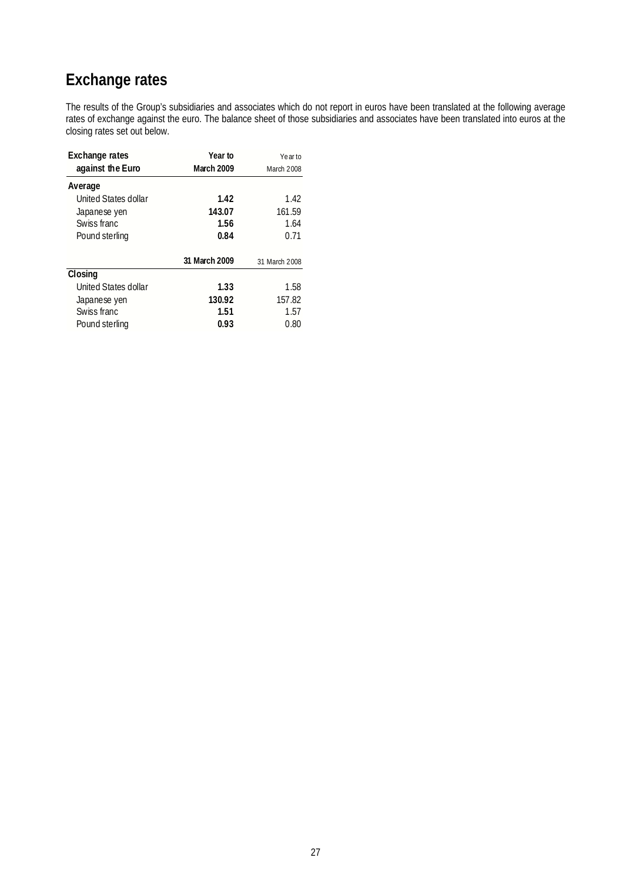# **Exchange rates**

The results of the Group's subsidiaries and associates which do not report in euros have been translated at the following average rates of exchange against the euro. The balance sheet of those subsidiaries and associates have been translated into euros at the closing rates set out below.

| <b>Exchange rates</b> | Year to       | Yearto        |
|-----------------------|---------------|---------------|
| against the Euro      | March 2009    | March 2008    |
| Average               |               |               |
| United States dollar  | 1.42          | 1.42          |
| Japanese yen          | 143.07        | 161.59        |
| Swiss franc           | 1.56          | 1.64          |
| Pound sterling        | 0.84          | 0.71          |
|                       | 31 March 2009 | 31 March 2008 |
| Closing               |               |               |
| United States dollar  | 1.33          | 1.58          |
| Japanese yen          | 130.92        | 157.82        |
| Swiss franc           | 1.51          | 1.57          |
| Pound sterling        | 0.93          | 0.80          |